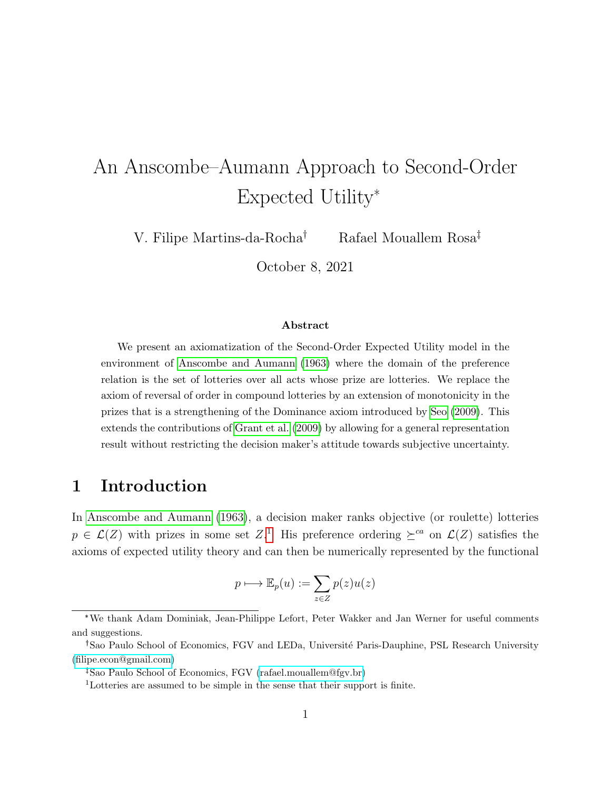# <span id="page-0-0"></span>An Anscombe–Aumann Approach to Second-Order Expected Utility\*

V. Filipe Martins-da-Rocha<sup>†</sup> Rafael Mouallem Rosa<sup>‡</sup>

October 8, 2021

#### Abstract

We present an axiomatization of the Second-Order Expected Utility model in the environment of [Anscombe and Aumann](#page-24-0) [\(1963\)](#page-24-0) where the domain of the preference relation is the set of lotteries over all acts whose prize are lotteries. We replace the axiom of reversal of order in compound lotteries by an extension of monotonicity in the prizes that is a strengthening of the Dominance axiom introduced by [Seo](#page-25-0) [\(2009\)](#page-25-0). This extends the contributions of [Grant et al.](#page-24-1) [\(2009\)](#page-24-1) by allowing for a general representation result without restricting the decision maker's attitude towards subjective uncertainty.

## 1 Introduction

In [Anscombe and Aumann](#page-24-0) [\(1963\)](#page-24-0), a decision maker ranks objective (or roulette) lotteries  $p \in \mathcal{L}(Z)$  with prizes in some set  $Z$ <sup>1</sup>. His preference ordering  $\succeq^{ca}$  on  $\mathcal{L}(Z)$  satisfies the axioms of expected utility theory and can then be numerically represented by the functional

$$
p \longmapsto \mathbb{E}_p(u) := \sum_{z \in Z} p(z)u(z)
$$

<sup>\*</sup>We thank Adam Dominiak, Jean-Philippe Lefort, Peter Wakker and Jan Werner for useful comments and suggestions.

<sup>&</sup>lt;sup>†</sup> Sao Paulo School of Economics, FGV and LEDa, Université Paris-Dauphine, PSL Research University [\(filipe.econ@gmail.com\)](mailto:filipe.econ@gmail.com)

Sao Paulo School of Economics, FGV [\(rafael.mouallem@fgv.br\)](mailto:rafael.mouallem@fgv.br)

<sup>1</sup>Lotteries are assumed to be simple in the sense that their support is finite.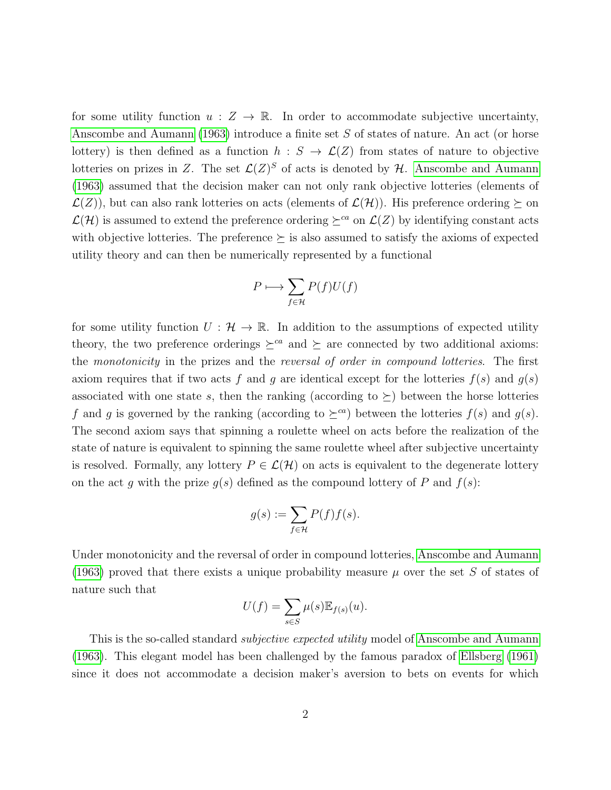for some utility function  $u : Z \to \mathbb{R}$ . In order to accommodate subjective uncertainty, [Anscombe and Aumann](#page-24-0) [\(1963\)](#page-24-0) introduce a finite set S of states of nature. An act (or horse lottery) is then defined as a function  $h : S \to \mathcal{L}(Z)$  from states of nature to objective lotteries on prizes in Z. The set  $\mathcal{L}(Z)^S$  of acts is denoted by H. [Anscombe and Aumann](#page-24-0) [\(1963\)](#page-24-0) assumed that the decision maker can not only rank objective lotteries (elements of  $\mathcal{L}(Z)$ , but can also rank lotteries on acts (elements of  $\mathcal{L}(\mathcal{H})$ ). His preference ordering  $\succeq$  on  $\mathcal{L}(\mathcal{H})$  is assumed to extend the preference ordering  $\succeq^{ca}$  on  $\mathcal{L}(Z)$  by identifying constant acts with objective lotteries. The preference  $\succeq$  is also assumed to satisfy the axioms of expected utility theory and can then be numerically represented by a functional

$$
P\longmapsto \sum_{f\in \mathcal{H}}P(f)U(f)
$$

for some utility function  $U : \mathcal{H} \to \mathbb{R}$ . In addition to the assumptions of expected utility theory, the two preference orderings  $\geq^{ca}$  and  $\succeq$  are connected by two additional axioms: the monotonicity in the prizes and the reversal of order in compound lotteries. The first axiom requires that if two acts f and g are identical except for the lotteries  $f(s)$  and  $g(s)$ associated with one state s, then the ranking (according to  $\succeq$ ) between the horse lotteries f and g is governed by the ranking (according to  $\succeq^{ca}$ ) between the lotteries  $f(s)$  and  $g(s)$ . The second axiom says that spinning a roulette wheel on acts before the realization of the state of nature is equivalent to spinning the same roulette wheel after subjective uncertainty is resolved. Formally, any lottery  $P \in \mathcal{L}(\mathcal{H})$  on acts is equivalent to the degenerate lottery on the act g with the prize  $g(s)$  defined as the compound lottery of P and  $f(s)$ :

$$
g(s):=\sum_{f\in\mathcal{H}}P(f)f(s).
$$

Under monotonicity and the reversal of order in compound lotteries, [Anscombe and Aumann](#page-24-0) [\(1963\)](#page-24-0) proved that there exists a unique probability measure  $\mu$  over the set S of states of nature such that

$$
U(f) = \sum_{s \in S} \mu(s) \mathbb{E}_{f(s)}(u).
$$

This is the so-called standard *subjective expected utility* model of [Anscombe and Aumann](#page-24-0) [\(1963\)](#page-24-0). This elegant model has been challenged by the famous paradox of [Ellsberg](#page-24-2) [\(1961\)](#page-24-2) since it does not accommodate a decision maker's aversion to bets on events for which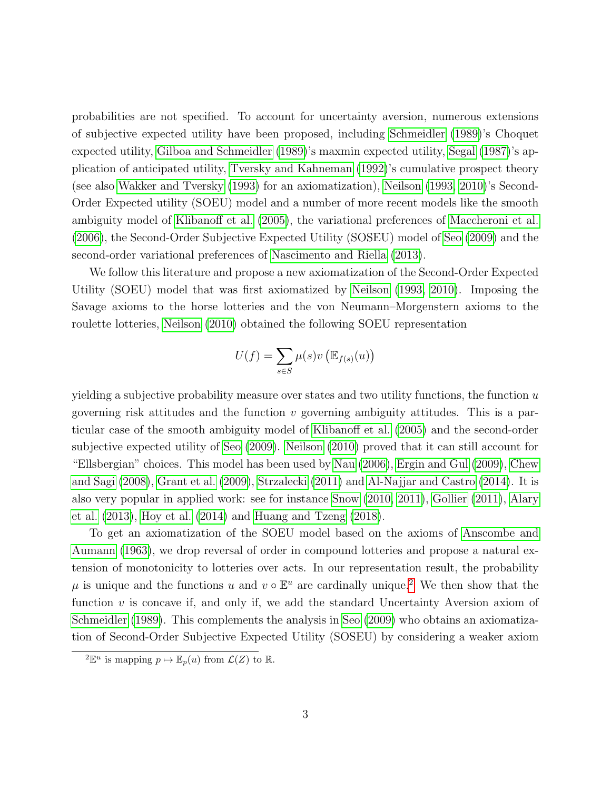probabilities are not specified. To account for uncertainty aversion, numerous extensions of subjective expected utility have been proposed, including [Schmeidler](#page-25-1) [\(1989\)](#page-25-1)'s Choquet expected utility, [Gilboa and Schmeidler](#page-24-3) [\(1989\)](#page-24-3)'s maxmin expected utility, [Segal](#page-25-2) [\(1987\)](#page-25-2)'s application of anticipated utility, [Tversky and Kahneman](#page-25-3) [\(1992\)](#page-25-3)'s cumulative prospect theory (see also [Wakker and Tversky](#page-26-0) [\(1993\)](#page-26-0) for an axiomatization), [Neilson](#page-25-4) [\(1993,](#page-25-4) [2010\)](#page-25-5)'s Second-Order Expected utility (SOEU) model and a number of more recent models like the smooth ambiguity model of [Klibanoff et al.](#page-25-6) [\(2005\)](#page-25-6), the variational preferences of [Maccheroni et al.](#page-25-7) [\(2006\)](#page-25-7), the Second-Order Subjective Expected Utility (SOSEU) model of [Seo](#page-25-0) [\(2009\)](#page-25-0) and the second-order variational preferences of [Nascimento and Riella](#page-25-8) [\(2013\)](#page-25-8).

We follow this literature and propose a new axiomatization of the Second-Order Expected Utility (SOEU) model that was first axiomatized by [Neilson](#page-25-4) [\(1993,](#page-25-4) [2010\)](#page-25-5). Imposing the Savage axioms to the horse lotteries and the von Neumann–Morgenstern axioms to the roulette lotteries, [Neilson](#page-25-5) [\(2010\)](#page-25-5) obtained the following SOEU representation

$$
U(f) = \sum_{s \in S} \mu(s)v\left(\mathbb{E}_{f(s)}(u)\right)
$$

yielding a subjective probability measure over states and two utility functions, the function  $u$ governing risk attitudes and the function  $v$  governing ambiguity attitudes. This is a particular case of the smooth ambiguity model of [Klibanoff et al.](#page-25-6) [\(2005\)](#page-25-6) and the second-order subjective expected utility of [Seo](#page-25-0) [\(2009\)](#page-25-0). [Neilson](#page-25-5) [\(2010\)](#page-25-5) proved that it can still account for "Ellsbergian" choices. This model has been used by [Nau](#page-25-9) [\(2006\)](#page-25-9), [Ergin and Gul](#page-24-4) [\(2009\)](#page-24-4), [Chew](#page-24-5) [and Sagi](#page-24-5) [\(2008\)](#page-24-5), [Grant et al.](#page-24-1) [\(2009\)](#page-24-1), [Strzalecki](#page-25-10) [\(2011\)](#page-25-10) and [Al-Najjar and Castro](#page-24-6) [\(2014\)](#page-24-6). It is also very popular in applied work: see for instance [Snow](#page-25-11) [\(2010,](#page-25-11) [2011\)](#page-25-12), [Gollier](#page-24-7) [\(2011\)](#page-24-7), [Alary](#page-24-8) [et al.](#page-24-8) [\(2013\)](#page-24-8), [Hoy et al.](#page-24-9) [\(2014\)](#page-24-9) and [Huang and Tzeng](#page-25-13) [\(2018\)](#page-25-13).

To get an axiomatization of the SOEU model based on the axioms of [Anscombe and](#page-24-0) [Aumann](#page-24-0) [\(1963\)](#page-24-0), we drop reversal of order in compound lotteries and propose a natural extension of monotonicity to lotteries over acts. In our representation result, the probability  $\mu$  is unique and the functions u and  $v \circ \mathbb{E}^u$  are cardinally unique.<sup>[2](#page-0-0)</sup> We then show that the function  $v$  is concave if, and only if, we add the standard Uncertainty Aversion axiom of [Schmeidler](#page-25-1) [\(1989\)](#page-25-1). This complements the analysis in [Seo](#page-25-0) [\(2009\)](#page-25-0) who obtains an axiomatization of Second-Order Subjective Expected Utility (SOSEU) by considering a weaker axiom

<sup>&</sup>lt;sup>2</sup> $\mathbb{E}^u$  is mapping  $p \mapsto \mathbb{E}_p(u)$  from  $\mathcal{L}(Z)$  to  $\mathbb{R}$ .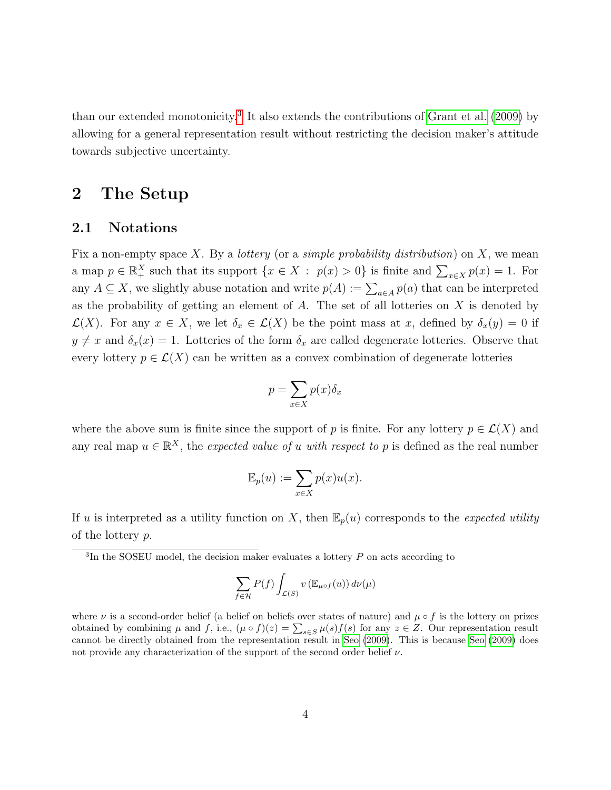than our extended monotonicity.[3](#page-0-0) It also extends the contributions of [Grant et al.](#page-24-1) [\(2009\)](#page-24-1) by allowing for a general representation result without restricting the decision maker's attitude towards subjective uncertainty.

# 2 The Setup

#### 2.1 Notations

Fix a non-empty space X. By a *lottery* (or a *simple probability distribution*) on X, we mean a map  $p \in \mathbb{R}_+^X$  such that its support  $\{x \in X : p(x) > 0\}$  is finite and  $\sum_{x \in X} p(x) = 1$ . For any  $A \subseteq X$ , we slightly abuse notation and write  $p(A) := \sum_{a \in A} p(a)$  that can be interpreted as the probability of getting an element of  $A$ . The set of all lotteries on  $X$  is denoted by  $\mathcal{L}(X)$ . For any  $x \in X$ , we let  $\delta_x \in \mathcal{L}(X)$  be the point mass at x, defined by  $\delta_x(y) = 0$  if  $y \neq x$  and  $\delta_x(x) = 1$ . Lotteries of the form  $\delta_x$  are called degenerate lotteries. Observe that every lottery  $p \in \mathcal{L}(X)$  can be written as a convex combination of degenerate lotteries

$$
p = \sum_{x \in X} p(x)\delta_x
$$

where the above sum is finite since the support of p is finite. For any lottery  $p \in \mathcal{L}(X)$  and any real map  $u \in \mathbb{R}^X$ , the expected value of u with respect to p is defined as the real number

$$
\mathbb{E}_p(u) := \sum_{x \in X} p(x)u(x).
$$

If u is interpreted as a utility function on X, then  $\mathbb{E}_p(u)$  corresponds to the expected utility of the lottery p.

$$
\sum_{f \in \mathcal{H}} P(f) \int_{\mathcal{L}(S)} v \left( \mathbb{E}_{\mu \circ f}(u) \right) d\nu(\mu)
$$

where  $\nu$  is a second-order belief (a belief on beliefs over states of nature) and  $\mu \circ f$  is the lottery on prizes obtained by combining  $\mu$  and  $f$ , i.e.,  $(\mu \circ f)(z) = \sum_{s \in S} \mu(s) f(s)$  for any  $z \in Z$ . Our representation result cannot be directly obtained from the representation result in [Seo](#page-25-0) [\(2009\)](#page-25-0). This is because [Seo](#page-25-0) [\(2009\)](#page-25-0) does not provide any characterization of the support of the second order belief  $\nu$ .

 ${}^{3}$ In the SOSEU model, the decision maker evaluates a lottery  $P$  on acts according to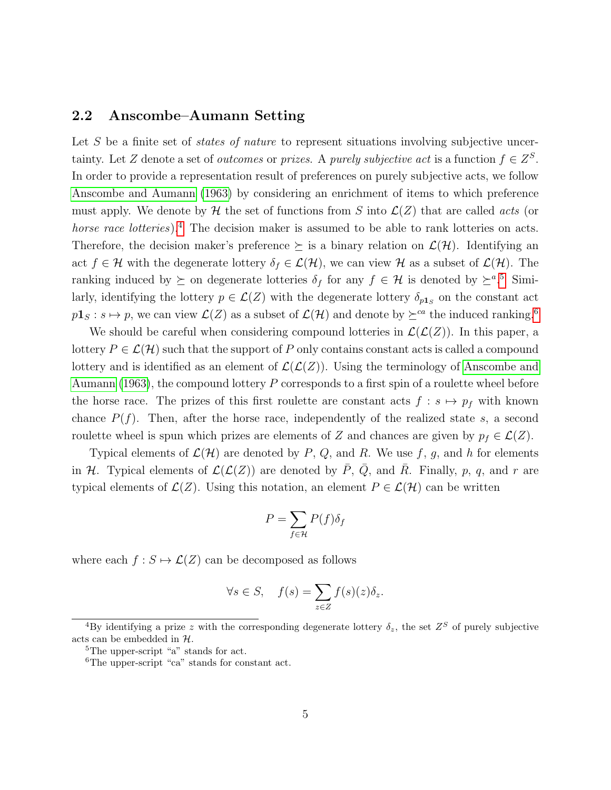#### 2.2 Anscombe–Aumann Setting

Let  $S$  be a finite set of *states of nature* to represent situations involving subjective uncertainty. Let Z denote a set of *outcomes* or *prizes*. A *purely subjective act* is a function  $f \in Z^S$ . In order to provide a representation result of preferences on purely subjective acts, we follow [Anscombe and Aumann](#page-24-0) [\(1963\)](#page-24-0) by considering an enrichment of items to which preference must apply. We denote by  $\mathcal H$  the set of functions from S into  $\mathcal L(Z)$  that are called *acts* (or horse race lotteries).<sup>[4](#page-0-0)</sup> The decision maker is assumed to be able to rank lotteries on acts. Therefore, the decision maker's preference  $\succeq$  is a binary relation on  $\mathcal{L}(\mathcal{H})$ . Identifying an act  $f \in \mathcal{H}$  with the degenerate lottery  $\delta_f \in \mathcal{L}(\mathcal{H})$ , we can view  $\mathcal{H}$  as a subset of  $\mathcal{L}(\mathcal{H})$ . The ranking induced by  $\succeq$  on degenerate lotteries  $\delta_f$  for any  $f \in \mathcal{H}$  is denoted by  $\succeq^{a.5}$  $\succeq^{a.5}$  $\succeq^{a.5}$  Similarly, identifying the lottery  $p \in \mathcal{L}(Z)$  with the degenerate lottery  $\delta_{p_1,s}$  on the constant act  $p_1$ **1**<sub>S</sub> :  $s \mapsto p$ , we can view  $\mathcal{L}(Z)$  as a subset of  $\mathcal{L}(\mathcal{H})$  and denote by  $\succeq^{ca}$  the induced ranking.<sup>[6](#page-0-0)</sup>

We should be careful when considering compound lotteries in  $\mathcal{L}(\mathcal{L}(Z))$ . In this paper, a lottery  $P \in \mathcal{L}(\mathcal{H})$  such that the support of P only contains constant acts is called a compound lottery and is identified as an element of  $\mathcal{L}(\mathcal{L}(Z))$ . Using the terminology of [Anscombe and](#page-24-0) [Aumann](#page-24-0) [\(1963\)](#page-24-0), the compound lottery P corresponds to a first spin of a roulette wheel before the horse race. The prizes of this first roulette are constant acts  $f : s \mapsto p_f$  with known chance  $P(f)$ . Then, after the horse race, independently of the realized state s, a second roulette wheel is spun which prizes are elements of Z and chances are given by  $p_f \in \mathcal{L}(Z)$ .

Typical elements of  $\mathcal{L}(\mathcal{H})$  are denoted by P, Q, and R. We use f, g, and h for elements in H. Typical elements of  $\mathcal{L}(\mathcal{L}(Z))$  are denoted by  $\overline{P}$ ,  $\overline{Q}$ , and  $\overline{R}$ . Finally, p, q, and r are typical elements of  $\mathcal{L}(Z)$ . Using this notation, an element  $P \in \mathcal{L}(\mathcal{H})$  can be written

$$
P = \sum_{f \in \mathcal{H}} P(f) \delta_f
$$

where each  $f : S \mapsto \mathcal{L}(Z)$  can be decomposed as follows

$$
\forall s \in S, \quad f(s) = \sum_{z \in Z} f(s)(z)\delta_z.
$$

<sup>&</sup>lt;sup>4</sup>By identifying a prize z with the corresponding degenerate lottery  $\delta_z$ , the set  $Z^S$  of purely subjective acts can be embedded in H.

<sup>&</sup>lt;sup>5</sup>The upper-script "a" stands for act.

<sup>6</sup>The upper-script "ca" stands for constant act.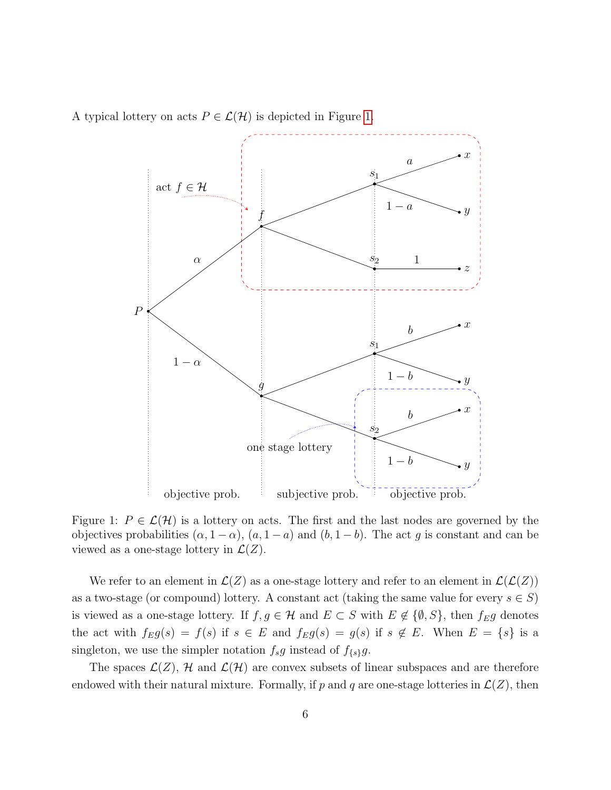<span id="page-5-0"></span>A typical lottery on acts  $P \in \mathcal{L}(\mathcal{H})$  is depicted in Figure [1.](#page-5-0)



Figure 1:  $P \in \mathcal{L}(\mathcal{H})$  is a lottery on acts. The first and the last nodes are governed by the objectives probabilities  $(\alpha, 1 - \alpha)$ ,  $(a, 1 - a)$  and  $(b, 1 - b)$ . The act g is constant and can be viewed as a one-stage lottery in  $\mathcal{L}(Z)$ .

We refer to an element in  $\mathcal{L}(Z)$  as a one-stage lottery and refer to an element in  $\mathcal{L}(\mathcal{L}(Z))$ as a two-stage (or compound) lottery. A constant act (taking the same value for every  $s \in S$ ) is viewed as a one-stage lottery. If  $f, g \in \mathcal{H}$  and  $E \subset S$  with  $E \notin \{\emptyset, S\}$ , then  $f_E g$  denotes the act with  $f_Eg(s) = f(s)$  if  $s \in E$  and  $f_Eg(s) = g(s)$  if  $s \notin E$ . When  $E = \{s\}$  is a singleton, we use the simpler notation  $f_s g$  instead of  $f_{\{s\}}g$ .

The spaces  $\mathcal{L}(Z)$ , H and  $\mathcal{L}(\mathcal{H})$  are convex subsets of linear subspaces and are therefore endowed with their natural mixture. Formally, if p and q are one-stage lotteries in  $\mathcal{L}(Z)$ , then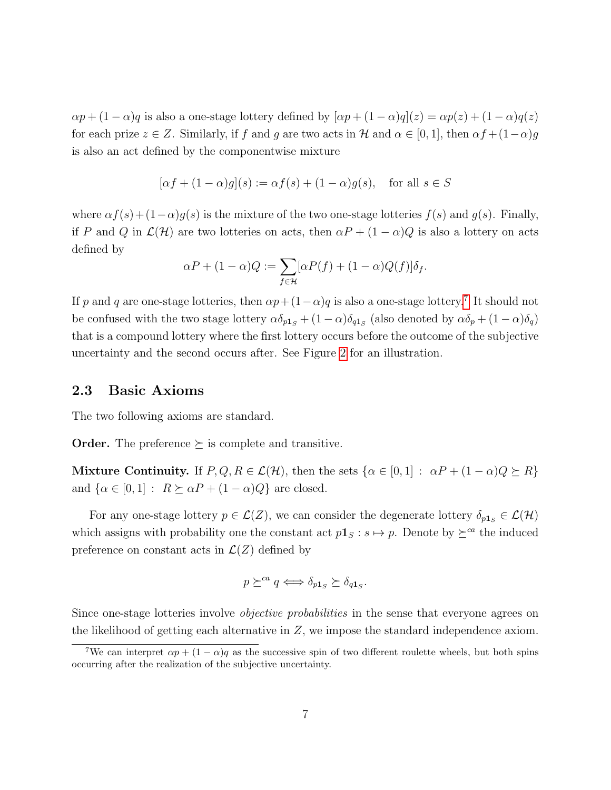$\alpha p + (1 - \alpha)q$  is also a one-stage lottery defined by  $[\alpha p + (1 - \alpha)q](z) = \alpha p(z) + (1 - \alpha)q(z)$ for each prize  $z \in Z$ . Similarly, if f and g are two acts in H and  $\alpha \in [0,1]$ , then  $\alpha f + (1-\alpha)g$ is also an act defined by the componentwise mixture

$$
[\alpha f + (1 - \alpha)g](s) := \alpha f(s) + (1 - \alpha)g(s), \quad \text{for all } s \in S
$$

where  $\alpha f(s) + (1-\alpha)g(s)$  is the mixture of the two one-stage lotteries  $f(s)$  and  $g(s)$ . Finally, if P and Q in  $\mathcal{L}(\mathcal{H})$  are two lotteries on acts, then  $\alpha P + (1 - \alpha)Q$  is also a lottery on acts defined by

$$
\alpha P + (1 - \alpha)Q := \sum_{f \in \mathcal{H}} [\alpha P(f) + (1 - \alpha)Q(f)]\delta_f.
$$

If p and q are one-stage lotteries, then  $\alpha p + (1-\alpha)q$  is also a one-stage lottery.<sup>[7](#page-0-0)</sup> It should not be confused with the two stage lottery  $\alpha\delta_{p_1s} + (1-\alpha)\delta_{q_1s}$  (also denoted by  $\alpha\delta_p + (1-\alpha)\delta_q$ ) that is a compound lottery where the first lottery occurs before the outcome of the subjective uncertainty and the second occurs after. See Figure [2](#page-7-0) for an illustration.

#### 2.3 Basic Axioms

The two following axioms are standard.

**Order.** The preference  $\succeq$  is complete and transitive.

Mixture Continuity. If  $P, Q, R \in \mathcal{L}(\mathcal{H})$ , then the sets  $\{\alpha \in [0,1]: \alpha P + (1-\alpha)Q \succeq R\}$ and  $\{\alpha \in [0,1] : R \succeq \alpha P + (1 - \alpha)Q\}$  are closed.

For any one-stage lottery  $p \in \mathcal{L}(Z)$ , we can consider the degenerate lottery  $\delta_{p1_S} \in \mathcal{L}(\mathcal{H})$ which assigns with probability one the constant act  $p1_s : s \mapsto p$ . Denote by  $\succeq^{ca}$  the induced preference on constant acts in  $\mathcal{L}(Z)$  defined by

$$
p \succeq^{ca} q \Longleftrightarrow \delta_{p1_S} \succeq \delta_{q1_S}.
$$

Since one-stage lotteries involve *objective probabilities* in the sense that everyone agrees on the likelihood of getting each alternative in Z, we impose the standard independence axiom.

<sup>&</sup>lt;sup>7</sup>We can interpret  $\alpha p + (1 - \alpha)q$  as the successive spin of two different roulette wheels, but both spins occurring after the realization of the subjective uncertainty.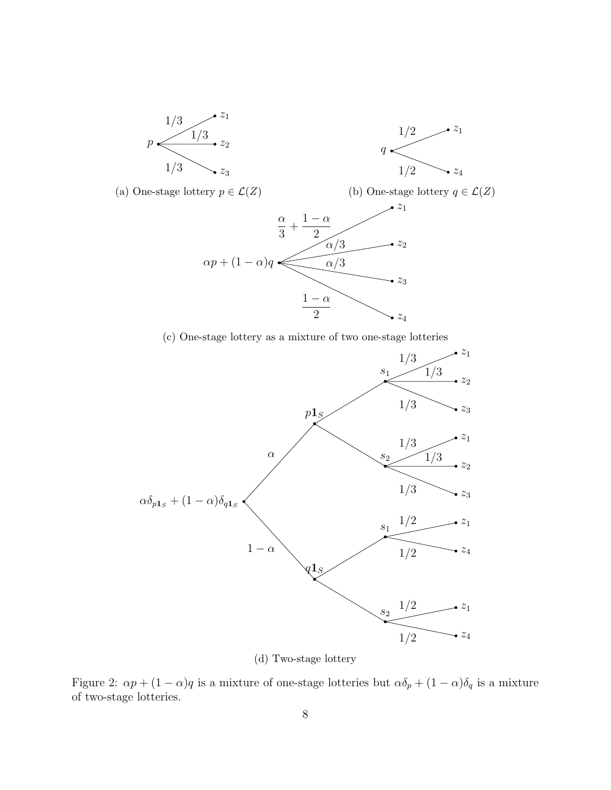<span id="page-7-0"></span>

(a) One-stage lottery  $p \in \mathcal{L}(Z)$ (b) One-stage lottery  $q \in \mathcal{L}(Z)$  $\alpha p + (1 - \alpha)q$  $z_1$ α 3  $^{+}$  $1 - \alpha$ 2  $\alpha/3$   $\longrightarrow$   $z_2$  $z_3$  $\alpha/3$  $\overline{z}_4$  $1 - \alpha$ 2

(c) One-stage lottery as a mixture of two one-stage lotteries



(d) Two-stage lottery

Figure 2:  $\alpha p + (1 - \alpha)q$  is a mixture of one-stage lotteries but  $\alpha \delta_p + (1 - \alpha) \delta_q$  is a mixture of two-stage lotteries.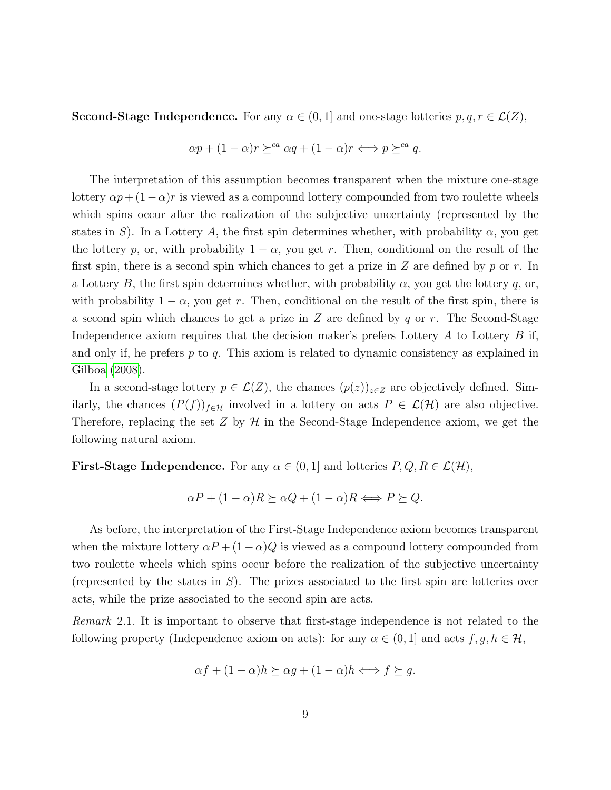**Second-Stage Independence.** For any  $\alpha \in (0, 1]$  and one-stage lotteries  $p, q, r \in \mathcal{L}(Z)$ ,

$$
\alpha p + (1 - \alpha)r \succeq^{ca} \alpha q + (1 - \alpha)r \Longleftrightarrow p \succeq^{ca} q.
$$

The interpretation of this assumption becomes transparent when the mixture one-stage lottery  $\alpha p + (1-\alpha)r$  is viewed as a compound lottery compounded from two roulette wheels which spins occur after the realization of the subjective uncertainty (represented by the states in S). In a Lottery A, the first spin determines whether, with probability  $\alpha$ , you get the lottery p, or, with probability  $1 - \alpha$ , you get r. Then, conditional on the result of the first spin, there is a second spin which chances to get a prize in  $Z$  are defined by  $p$  or  $r$ . In a Lottery B, the first spin determines whether, with probability  $\alpha$ , you get the lottery q, or, with probability  $1 - \alpha$ , you get r. Then, conditional on the result of the first spin, there is a second spin which chances to get a prize in  $Z$  are defined by q or r. The Second-Stage Independence axiom requires that the decision maker's prefers Lottery  $A$  to Lottery  $B$  if, and only if, he prefers  $p$  to  $q$ . This axiom is related to dynamic consistency as explained in [Gilboa](#page-24-10) [\(2008\)](#page-24-10).

In a second-stage lottery  $p \in \mathcal{L}(Z)$ , the chances  $(p(z))_{z \in Z}$  are objectively defined. Similarly, the chances  $(P(f))_{f\in\mathcal{H}}$  involved in a lottery on acts  $P\in\mathcal{L}(\mathcal{H})$  are also objective. Therefore, replacing the set  $Z$  by  $H$  in the Second-Stage Independence axiom, we get the following natural axiom.

**First-Stage Independence.** For any  $\alpha \in (0,1]$  and lotteries  $P, Q, R \in \mathcal{L}(\mathcal{H}),$ 

$$
\alpha P + (1 - \alpha)R \succeq \alpha Q + (1 - \alpha)R \Longleftrightarrow P \succeq Q.
$$

As before, the interpretation of the First-Stage Independence axiom becomes transparent when the mixture lottery  $\alpha P + (1 - \alpha)Q$  is viewed as a compound lottery compounded from two roulette wheels which spins occur before the realization of the subjective uncertainty (represented by the states in  $S$ ). The prizes associated to the first spin are lotteries over acts, while the prize associated to the second spin are acts.

Remark 2.1. It is important to observe that first-stage independence is not related to the following property (Independence axiom on acts): for any  $\alpha \in (0,1]$  and acts  $f, g, h \in \mathcal{H}$ ,

$$
\alpha f + (1 - \alpha)h \succeq \alpha g + (1 - \alpha)h \Longleftrightarrow f \succeq g.
$$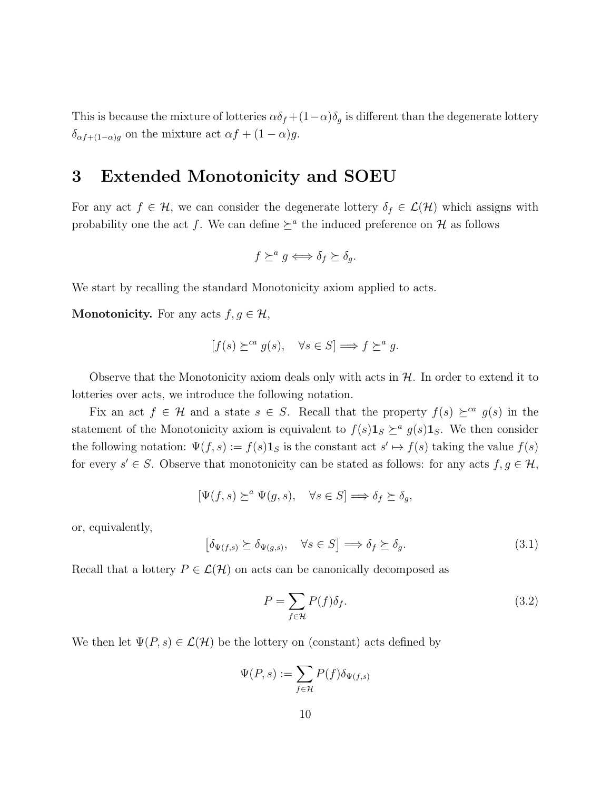This is because the mixture of lotteries  $\alpha \delta_f + (1-\alpha)\delta_g$  is different than the degenerate lottery  $\delta_{\alpha f + (1-\alpha)g}$  on the mixture act  $\alpha f + (1-\alpha)g$ .

### 3 Extended Monotonicity and SOEU

For any act  $f \in \mathcal{H}$ , we can consider the degenerate lottery  $\delta_f \in \mathcal{L}(\mathcal{H})$  which assigns with probability one the act f. We can define  $\succeq^a$  the induced preference on H as follows

$$
f \succeq^a g \iff \delta_f \succeq \delta_g.
$$

We start by recalling the standard Monotonicity axiom applied to acts.

**Monotonicity.** For any acts  $f, g \in \mathcal{H}$ ,

$$
[f(s) \succeq^{ca} g(s), \quad \forall s \in S] \Longrightarrow f \succeq^{a} g.
$$

Observe that the Monotonicity axiom deals only with acts in  $H$ . In order to extend it to lotteries over acts, we introduce the following notation.

Fix an act  $f \in \mathcal{H}$  and a state  $s \in S$ . Recall that the property  $f(s) \succeq^{ca} g(s)$  in the statement of the Monotonicity axiom is equivalent to  $f(s)$ **1**<sub>S</sub>  $\succeq^a$  g(s)**1**<sub>S</sub>. We then consider the following notation:  $\Psi(f, s) := f(s) \mathbf{1}_s$  is the constant act  $s' \mapsto f(s)$  taking the value  $f(s)$ for every  $s' \in S$ . Observe that monotonicity can be stated as follows: for any acts  $f, g \in \mathcal{H}$ ,

<span id="page-9-1"></span>
$$
[\Psi(f,s) \succeq^a \Psi(g,s), \quad \forall s \in S] \Longrightarrow \delta_f \succeq \delta_g,
$$

or, equivalently,

$$
\left[\delta_{\Psi(f,s)} \succeq \delta_{\Psi(g,s)}, \quad \forall s \in S\right] \Longrightarrow \delta_f \succeq \delta_g. \tag{3.1}
$$

Recall that a lottery  $P \in \mathcal{L}(\mathcal{H})$  on acts can be canonically decomposed as

<span id="page-9-0"></span>
$$
P = \sum_{f \in \mathcal{H}} P(f)\delta_f.
$$
\n(3.2)

We then let  $\Psi(P, s) \in \mathcal{L}(\mathcal{H})$  be the lottery on (constant) acts defined by

$$
\Psi(P,s) := \sum_{f \in \mathcal{H}} P(f) \delta_{\Psi(f,s)}
$$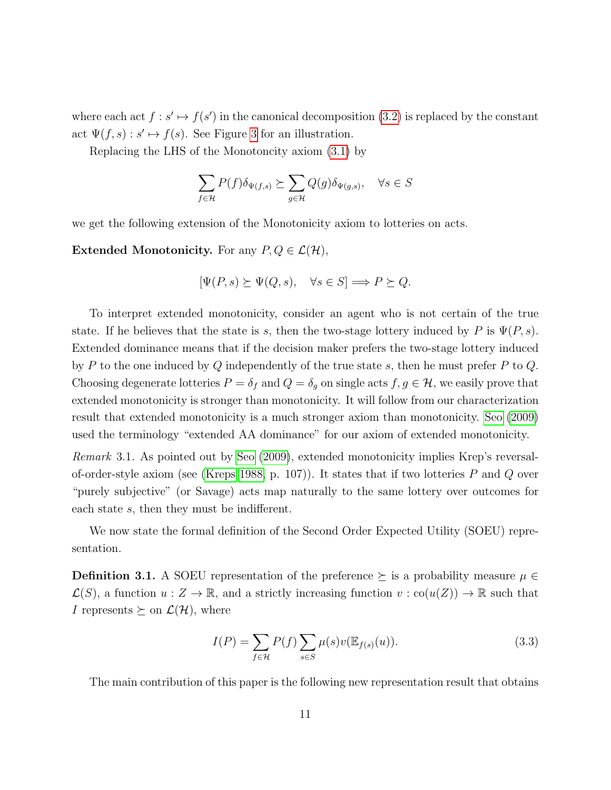where each act  $f : s' \mapsto f(s')$  in the canonical decomposition [\(3.2\)](#page-9-0) is replaced by the constant act  $\Psi(f, s) : s' \mapsto f(s)$ . See Figure [3](#page-11-0) for an illustration.

Replacing the LHS of the Monotoncity axiom [\(3.1\)](#page-9-1) by

$$
\sum_{f \in \mathcal{H}} P(f) \delta_{\Psi(f,s)} \succeq \sum_{g \in \mathcal{H}} Q(g) \delta_{\Psi(g,s)}, \quad \forall s \in S
$$

we get the following extension of the Monotonicity axiom to lotteries on acts.

**Extended Monotonicity.** For any  $P, Q \in \mathcal{L}(\mathcal{H})$ ,

$$
[\Psi(P, s) \succeq \Psi(Q, s), \quad \forall s \in S] \Longrightarrow P \succeq Q.
$$

To interpret extended monotonicity, consider an agent who is not certain of the true state. If he believes that the state is s, then the two-stage lottery induced by P is  $\Psi(P, s)$ . Extended dominance means that if the decision maker prefers the two-stage lottery induced by P to the one induced by Q independently of the true state s, then he must prefer P to  $Q$ . Choosing degenerate lotteries  $P = \delta_f$  and  $Q = \delta_g$  on single acts  $f, g \in \mathcal{H}$ , we easily prove that extended monotonicity is stronger than monotonicity. It will follow from our characterization result that extended monotonicity is a much stronger axiom than monotonicity. [Seo](#page-25-0) [\(2009\)](#page-25-0) used the terminology "extended AA dominance" for our axiom of extended monotonicity.

Remark 3.1. As pointed out by [Seo](#page-25-0) [\(2009\)](#page-25-0), extended monotonicity implies Krep's reversal-of-order-style axiom (see [\(Kreps 1988,](#page-25-14) p. 107)). It states that if two lotteries  $P$  and  $Q$  over "purely subjective" (or Savage) acts map naturally to the same lottery over outcomes for each state s, then they must be indifferent.

We now state the formal definition of the Second Order Expected Utility (SOEU) representation.

**Definition 3.1.** A SOEU representation of the preference  $\succeq$  is a probability measure  $\mu \in$  $\mathcal{L}(S)$ , a function  $u: Z \to \mathbb{R}$ , and a strictly increasing function  $v: co(u(Z)) \to \mathbb{R}$  such that I represents  $\succeq$  on  $\mathcal{L}(\mathcal{H})$ , where

<span id="page-10-0"></span>
$$
I(P) = \sum_{f \in \mathcal{H}} P(f) \sum_{s \in S} \mu(s) v(\mathbb{E}_{f(s)}(u)).
$$
\n(3.3)

The main contribution of this paper is the following new representation result that obtains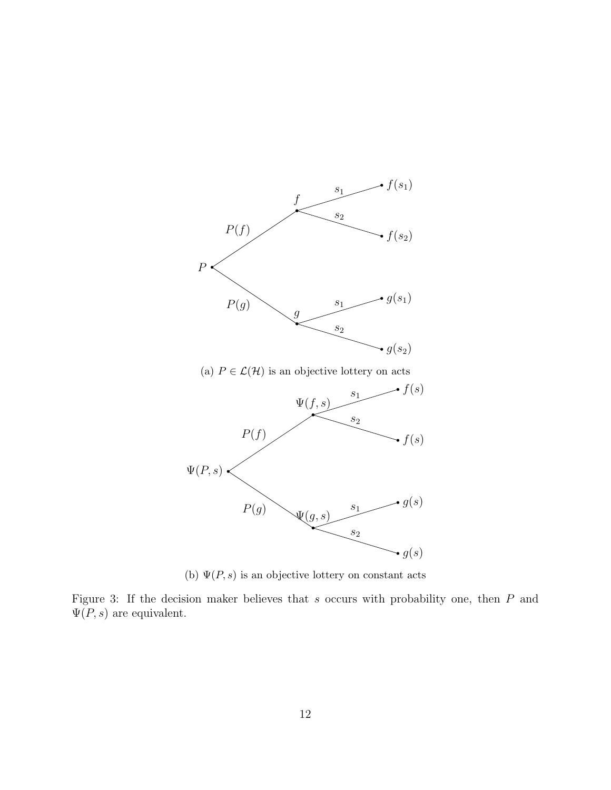<span id="page-11-0"></span>

(b)  $\Psi(P, s)$  is an objective lottery on constant acts

Figure 3: If the decision maker believes that  $s$  occurs with probability one, then  $P$  and  $\Psi(P, s)$  are equivalent.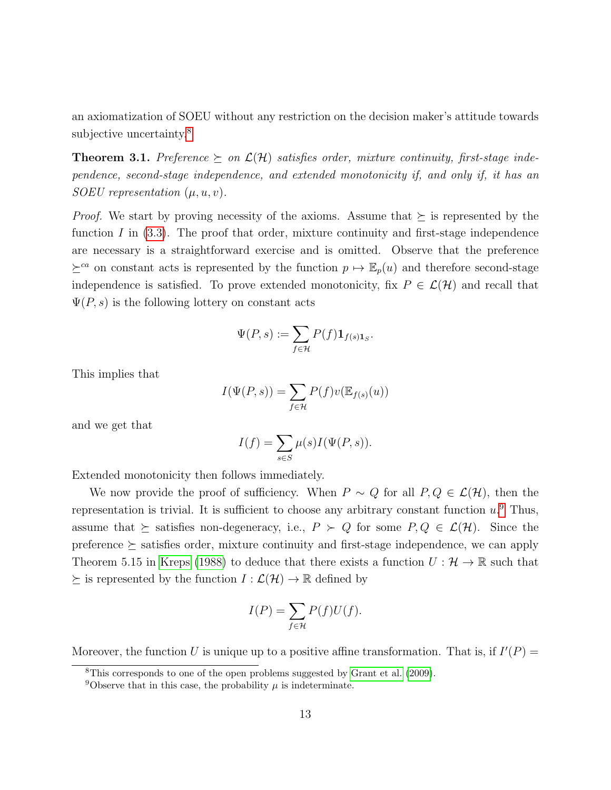an axiomatization of SOEU without any restriction on the decision maker's attitude towards subjective uncertainty.<sup>[8](#page-0-0)</sup>

<span id="page-12-0"></span>**Theorem 3.1.** Preference  $\succeq$  on  $\mathcal{L}(\mathcal{H})$  satisfies order, mixture continuity, first-stage independence, second-stage independence, and extended monotonicity if, and only if, it has an SOEU representation  $(\mu, u, v)$ .

*Proof.* We start by proving necessity of the axioms. Assume that  $\succeq$  is represented by the function  $I$  in  $(3.3)$ . The proof that order, mixture continuity and first-stage independence are necessary is a straightforward exercise and is omitted. Observe that the preference  $\succeq^{ca}$  on constant acts is represented by the function  $p \mapsto \mathbb{E}_p(u)$  and therefore second-stage independence is satisfied. To prove extended monotonicity, fix  $P \in \mathcal{L}(\mathcal{H})$  and recall that  $\Psi(P, s)$  is the following lottery on constant acts

$$
\Psi(P,s) := \sum_{f \in \mathcal{H}} P(f) \mathbf{1}_{f(s)\mathbf{1}_S}.
$$

This implies that

$$
I(\Psi(P,s)) = \sum_{f \in \mathcal{H}} P(f)v(\mathbb{E}_{f(s)}(u))
$$

and we get that

$$
I(f) = \sum_{s \in S} \mu(s)I(\Psi(P, s)).
$$

Extended monotonicity then follows immediately.

We now provide the proof of sufficiency. When  $P \sim Q$  for all  $P, Q \in \mathcal{L}(\mathcal{H})$ , then the representation is trivial. It is sufficient to choose any arbitrary constant function  $u^0$ . Thus, assume that  $\succeq$  satisfies non-degeneracy, i.e.,  $P \succ Q$  for some  $P, Q \in \mathcal{L}(\mathcal{H})$ . Since the preference  $\succeq$  satisfies order, mixture continuity and first-stage independence, we can apply Theorem 5.15 in [Kreps](#page-25-14) [\(1988\)](#page-25-14) to deduce that there exists a function  $U: \mathcal{H} \to \mathbb{R}$  such that  $\succeq$  is represented by the function  $I : \mathcal{L}(\mathcal{H}) \to \mathbb{R}$  defined by

$$
I(P) = \sum_{f \in \mathcal{H}} P(f)U(f).
$$

Moreover, the function U is unique up to a positive affine transformation. That is, if  $I'(P) =$ 

<sup>8</sup>This corresponds to one of the open problems suggested by [Grant et al.](#page-24-1) [\(2009\)](#page-24-1).

<sup>&</sup>lt;sup>9</sup>Observe that in this case, the probability  $\mu$  is indeterminate.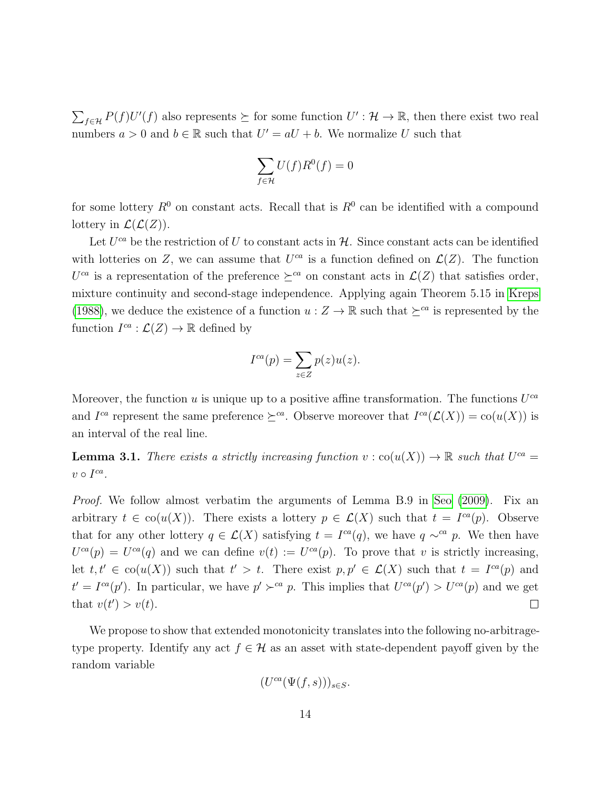$\sum_{f \in \mathcal{H}} P(f)U'(f)$  also represents  $\succeq$  for some function  $U': \mathcal{H} \to \mathbb{R}$ , then there exist two real numbers  $a > 0$  and  $b \in \mathbb{R}$  such that  $U' = aU + b$ . We normalize U such that

$$
\sum_{f \in \mathcal{H}} U(f)R^0(f) = 0
$$

for some lottery  $R^0$  on constant acts. Recall that is  $R^0$  can be identified with a compound lottery in  $\mathcal{L}(\mathcal{L}(Z))$ .

Let  $U^{ca}$  be the restriction of U to constant acts in  $H$ . Since constant acts can be identified with lotteries on Z, we can assume that  $U^{ca}$  is a function defined on  $\mathcal{L}(Z)$ . The function  $U^{ca}$  is a representation of the preference  $\succeq^{ca}$  on constant acts in  $\mathcal{L}(Z)$  that satisfies order, mixture continuity and second-stage independence. Applying again Theorem 5.15 in [Kreps](#page-25-14) [\(1988\)](#page-25-14), we deduce the existence of a function  $u : Z \to \mathbb{R}$  such that  $\succeq^{ca}$  is represented by the function  $I^{ca}: \mathcal{L}(Z) \to \mathbb{R}$  defined by

$$
I^{ca}(p) = \sum_{z \in Z} p(z)u(z).
$$

Moreover, the function u is unique up to a positive affine transformation. The functions  $U^{ca}$ and  $I^{ca}$  represent the same preference  $\succeq^{ca}$ . Observe moreover that  $I^{ca}(\mathcal{L}(X)) = \text{co}(u(X))$  is an interval of the real line.

<span id="page-13-0"></span>**Lemma 3.1.** There exists a strictly increasing function  $v : \text{co}(u(X)) \to \mathbb{R}$  such that  $U^{ca} =$  $v \circ I^{ca}$ .

Proof. We follow almost verbatim the arguments of Lemma B.9 in [Seo](#page-25-0) [\(2009\)](#page-25-0). Fix an arbitrary  $t \in \text{co}(u(X))$ . There exists a lottery  $p \in \mathcal{L}(X)$  such that  $t = I^{ca}(p)$ . Observe that for any other lottery  $q \in \mathcal{L}(X)$  satisfying  $t = I^{ca}(q)$ , we have  $q \sim^{ca} p$ . We then have  $U^{ca}(p) = U^{ca}(q)$  and we can define  $v(t) := U^{ca}(p)$ . To prove that v is strictly increasing, let  $t, t' \in \text{co}(u(X))$  such that  $t' > t$ . There exist  $p, p' \in \mathcal{L}(X)$  such that  $t = I^{ca}(p)$  and  $t' = I^{ca}(p')$ . In particular, we have  $p' \succ^{ca} p$ . This implies that  $U^{ca}(p') > U^{ca}(p)$  and we get that  $v(t') > v(t)$ .  $\Box$ 

We propose to show that extended monotonicity translates into the following no-arbitragetype property. Identify any act  $f \in \mathcal{H}$  as an asset with state-dependent payoff given by the random variable

$$
(U^{ca}(\Psi(f,s)))_{s\in S}.
$$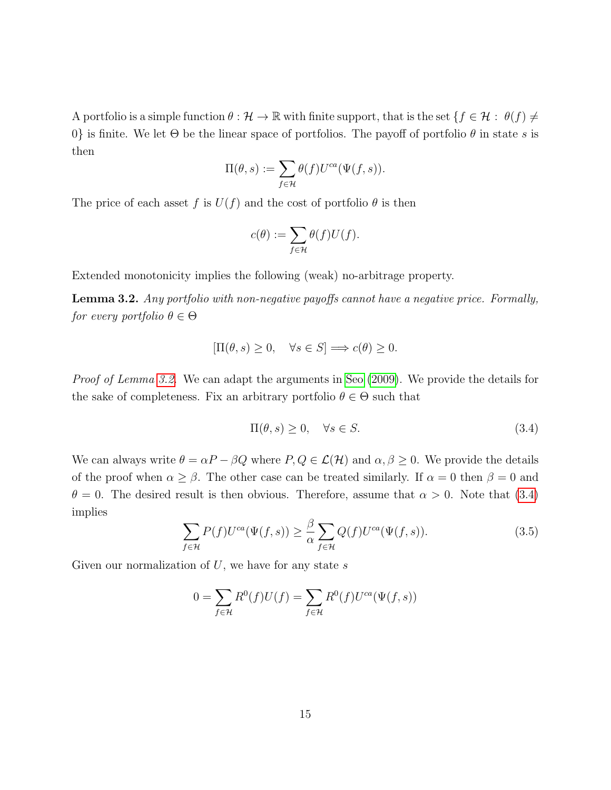A portfolio is a simple function  $\theta : \mathcal{H} \to \mathbb{R}$  with finite support, that is the set  $\{f \in \mathcal{H} : \theta(f) \neq \emptyset\}$ 0} is finite. We let  $\Theta$  be the linear space of portfolios. The payoff of portfolio  $\theta$  in state s is then

$$
\Pi(\theta,s):=\sum_{f\in\mathcal{H}}\theta(f)U^{ca}(\Psi(f,s)).
$$

The price of each asset f is  $U(f)$  and the cost of portfolio  $\theta$  is then

$$
c(\theta) := \sum_{f \in \mathcal{H}} \theta(f) U(f).
$$

Extended monotonicity implies the following (weak) no-arbitrage property.

<span id="page-14-0"></span>Lemma 3.2. Any portfolio with non-negative payoffs cannot have a negative price. Formally, for every portfolio  $\theta \in \Theta$ 

$$
[\Pi(\theta, s) \ge 0, \quad \forall s \in S] \Longrightarrow c(\theta) \ge 0.
$$

Proof of Lemma [3.2.](#page-14-0) We can adapt the arguments in [Seo](#page-25-0) [\(2009\)](#page-25-0). We provide the details for the sake of completeness. Fix an arbitrary portfolio  $\theta \in \Theta$  such that

<span id="page-14-1"></span>
$$
\Pi(\theta, s) \ge 0, \quad \forall s \in S. \tag{3.4}
$$

We can always write  $\theta = \alpha P - \beta Q$  where  $P, Q \in \mathcal{L}(\mathcal{H})$  and  $\alpha, \beta \geq 0$ . We provide the details of the proof when  $\alpha \geq \beta$ . The other case can be treated similarly. If  $\alpha = 0$  then  $\beta = 0$  and  $\theta = 0$ . The desired result is then obvious. Therefore, assume that  $\alpha > 0$ . Note that [\(3.4\)](#page-14-1) implies

$$
\sum_{f \in \mathcal{H}} P(f) U^{ca}(\Psi(f, s)) \ge \frac{\beta}{\alpha} \sum_{f \in \mathcal{H}} Q(f) U^{ca}(\Psi(f, s)). \tag{3.5}
$$

Given our normalization of  $U$ , we have for any state  $s$ 

$$
0 = \sum_{f \in \mathcal{H}} R^{0}(f)U(f) = \sum_{f \in \mathcal{H}} R^{0}(f)U^{ca}(\Psi(f, s))
$$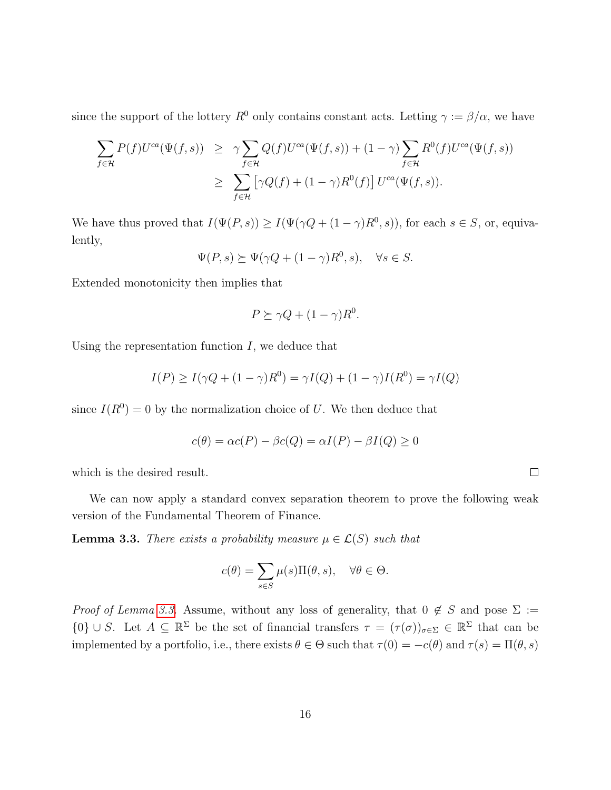since the support of the lottery  $R^0$  only contains constant acts. Letting  $\gamma := \beta/\alpha$ , we have

$$
\sum_{f \in \mathcal{H}} P(f) U^{ca}(\Psi(f, s)) \geq \gamma \sum_{f \in \mathcal{H}} Q(f) U^{ca}(\Psi(f, s)) + (1 - \gamma) \sum_{f \in \mathcal{H}} R^{0}(f) U^{ca}(\Psi(f, s))
$$
  

$$
\geq \sum_{f \in \mathcal{H}} \left[ \gamma Q(f) + (1 - \gamma) R^{0}(f) \right] U^{ca}(\Psi(f, s)).
$$

We have thus proved that  $I(\Psi(P, s)) \geq I(\Psi(\gamma Q + (1 - \gamma)R^0, s))$ , for each  $s \in S$ , or, equivalently,

$$
\Psi(P, s) \succeq \Psi(\gamma Q + (1 - \gamma)R^0, s), \quad \forall s \in S.
$$

Extended monotonicity then implies that

$$
P \succeq \gamma Q + (1 - \gamma)R^0.
$$

Using the representation function  $I$ , we deduce that

$$
I(P) \ge I(\gamma Q + (1 - \gamma)R^0) = \gamma I(Q) + (1 - \gamma)I(R^0) = \gamma I(Q)
$$

since  $I(R^0) = 0$  by the normalization choice of U. We then deduce that

$$
c(\theta) = \alpha c(P) - \beta c(Q) = \alpha I(P) - \beta I(Q) \ge 0
$$

which is the desired result.

We can now apply a standard convex separation theorem to prove the following weak version of the Fundamental Theorem of Finance.

<span id="page-15-0"></span>**Lemma 3.3.** There exists a probability measure  $\mu \in \mathcal{L}(S)$  such that

$$
c(\theta) = \sum_{s \in S} \mu(s) \Pi(\theta, s), \quad \forall \theta \in \Theta.
$$

*Proof of Lemma [3.3.](#page-15-0)* Assume, without any loss of generality, that  $0 \notin S$  and pose  $\Sigma :=$  ${0} \cup S$ . Let  $A \subseteq \mathbb{R}^{\Sigma}$  be the set of financial transfers  $\tau = (\tau(\sigma))_{\sigma \in \Sigma} \in \mathbb{R}^{\Sigma}$  that can be implemented by a portfolio, i.e., there exists  $\theta \in \Theta$  such that  $\tau(0) = -c(\theta)$  and  $\tau(s) = \Pi(\theta, s)$ 

 $\Box$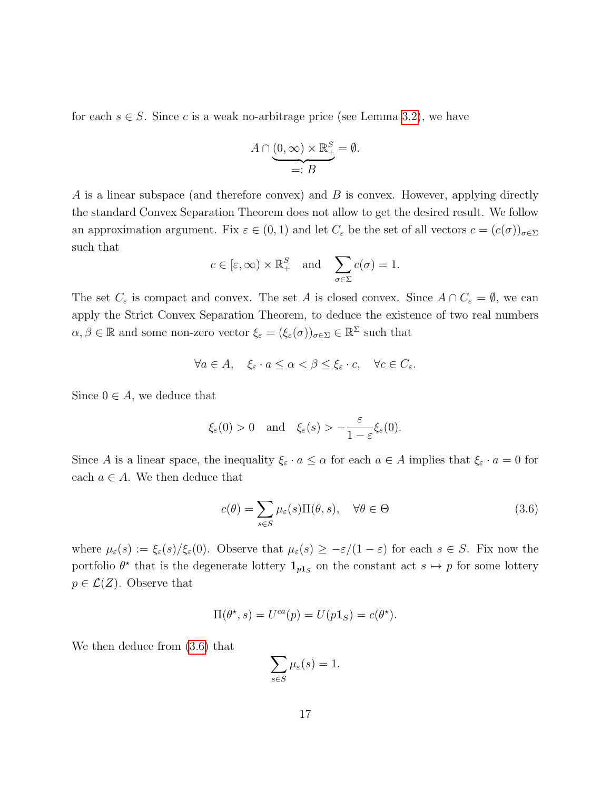for each  $s \in S$ . Since c is a weak no-arbitrage price (see Lemma [3.2\)](#page-14-0), we have

$$
A \cap \underbrace{(0, \infty) \times \mathbb{R}^S_+}_{=: B} = \emptyset.
$$

A is a linear subspace (and therefore convex) and  $B$  is convex. However, applying directly the standard Convex Separation Theorem does not allow to get the desired result. We follow an approximation argument. Fix  $\varepsilon \in (0,1)$  and let  $C_{\varepsilon}$  be the set of all vectors  $c = (c(\sigma))_{\sigma \in \Sigma}$ such that

$$
c \in [\varepsilon, \infty) \times \mathbb{R}^S_+
$$
 and  $\sum_{\sigma \in \Sigma} c(\sigma) = 1.$ 

The set  $C_{\varepsilon}$  is compact and convex. The set A is closed convex. Since  $A \cap C_{\varepsilon} = \emptyset$ , we can apply the Strict Convex Separation Theorem, to deduce the existence of two real numbers  $\alpha, \beta \in \mathbb{R}$  and some non-zero vector  $\xi_{\varepsilon} = (\xi_{\varepsilon}(\sigma))_{\sigma \in \Sigma} \in \mathbb{R}^{\Sigma}$  such that

$$
\forall a \in A, \quad \xi_{\varepsilon} \cdot a \le \alpha < \beta \le \xi_{\varepsilon} \cdot c, \quad \forall c \in C_{\varepsilon}.
$$

Since  $0 \in A$ , we deduce that

$$
\xi_{\varepsilon}(0) > 0
$$
 and  $\xi_{\varepsilon}(s) > -\frac{\varepsilon}{1-\varepsilon}\xi_{\varepsilon}(0).$ 

Since A is a linear space, the inequality  $\xi_{\varepsilon} \cdot a \leq \alpha$  for each  $a \in A$  implies that  $\xi_{\varepsilon} \cdot a = 0$  for each  $a \in A$ . We then deduce that

<span id="page-16-0"></span>
$$
c(\theta) = \sum_{s \in S} \mu_{\varepsilon}(s) \Pi(\theta, s), \quad \forall \theta \in \Theta \tag{3.6}
$$

where  $\mu_{\varepsilon}(s) := \xi_{\varepsilon}(s)/\xi_{\varepsilon}(0)$ . Observe that  $\mu_{\varepsilon}(s) \geq -\varepsilon/(1-\varepsilon)$  for each  $s \in S$ . Fix now the portfolio  $\theta^*$  that is the degenerate lottery  $\mathbf{1}_{p_1,s}$  on the constant act  $s \mapsto p$  for some lottery  $p \in \mathcal{L}(Z)$ . Observe that

$$
\Pi(\theta^{\star}, s) = U^{ca}(p) = U(p\mathbf{1}_S) = c(\theta^{\star}).
$$

We then deduce from [\(3.6\)](#page-16-0) that

$$
\sum_{s \in S} \mu_{\varepsilon}(s) = 1.
$$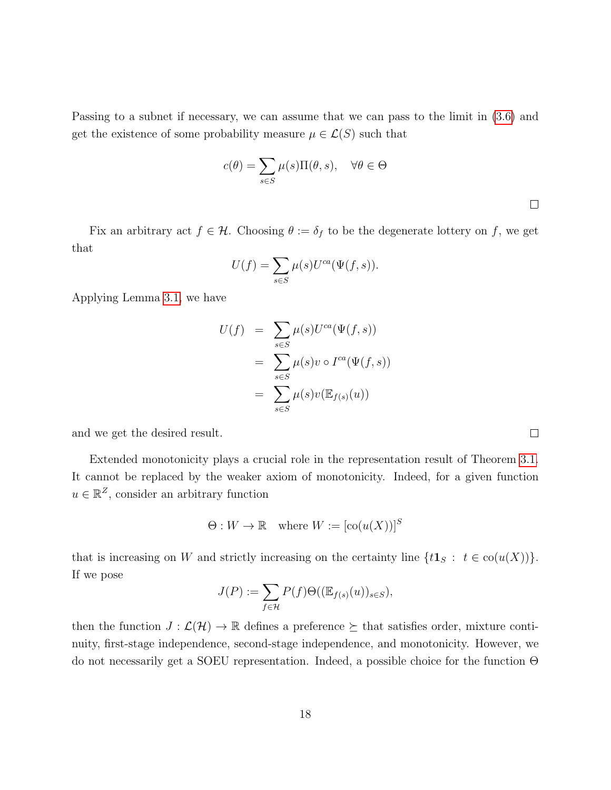Passing to a subnet if necessary, we can assume that we can pass to the limit in [\(3.6\)](#page-16-0) and get the existence of some probability measure  $\mu \in \mathcal{L}(S)$  such that

$$
c(\theta) = \sum_{s \in S} \mu(s) \Pi(\theta, s), \quad \forall \theta \in \Theta
$$

 $\Box$ 

Fix an arbitrary act  $f \in \mathcal{H}$ . Choosing  $\theta := \delta_f$  to be the degenerate lottery on f, we get that

$$
U(f) = \sum_{s \in S} \mu(s) U^{ca}(\Psi(f, s)).
$$

Applying Lemma [3.1,](#page-13-0) we have

$$
U(f) = \sum_{s \in S} \mu(s) U^{ca}(\Psi(f, s))
$$
  
= 
$$
\sum_{s \in S} \mu(s) v \circ I^{ca}(\Psi(f, s))
$$
  
= 
$$
\sum_{s \in S} \mu(s) v(\mathbb{E}_{f(s)}(u))
$$

and we get the desired result.

Extended monotonicity plays a crucial role in the representation result of Theorem [3.1.](#page-12-0) It cannot be replaced by the weaker axiom of monotonicity. Indeed, for a given function  $u \in \mathbb{R}^Z$ , consider an arbitrary function

$$
\Theta: W \to \mathbb{R} \quad \text{where } W := [\text{co}(u(X))]^S
$$

that is increasing on W and strictly increasing on the certainty line  $\{t\mathbf{1}_S : t \in \text{co}(u(X))\}.$ If we pose

$$
J(P) := \sum_{f \in \mathcal{H}} P(f) \Theta((\mathbb{E}_{f(s)}(u))_{s \in S}),
$$

then the function  $J: \mathcal{L}(\mathcal{H}) \to \mathbb{R}$  defines a preference  $\succeq$  that satisfies order, mixture continuity, first-stage independence, second-stage independence, and monotonicity. However, we do not necessarily get a SOEU representation. Indeed, a possible choice for the function Θ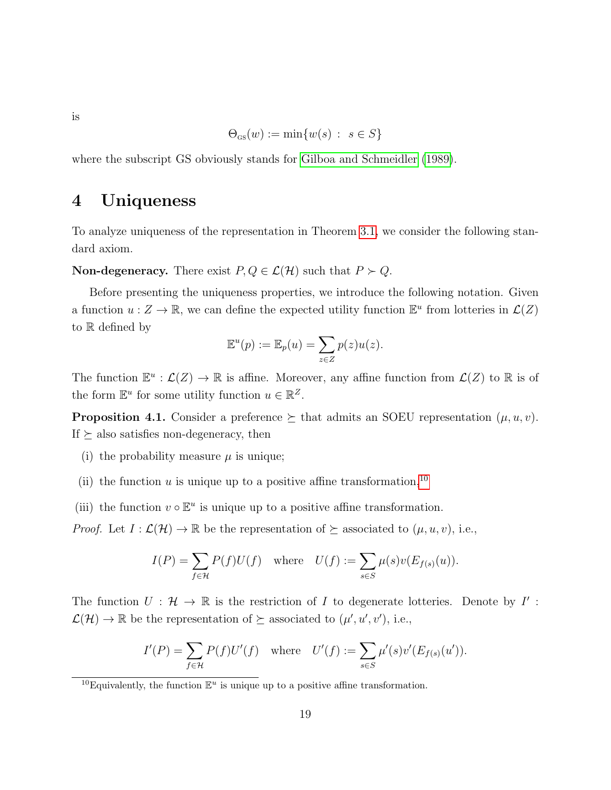is

$$
\Theta_{\scriptscriptstyle{\mathsf{GS}}}(w) := \min\{w(s) : s \in S\}
$$

where the subscript GS obviously stands for [Gilboa and Schmeidler](#page-24-3) [\(1989\)](#page-24-3).

# 4 Uniqueness

To analyze uniqueness of the representation in Theorem [3.1,](#page-12-0) we consider the following standard axiom.

**Non-degeneracy.** There exist  $P, Q \in \mathcal{L}(\mathcal{H})$  such that  $P \succ Q$ .

Before presenting the uniqueness properties, we introduce the following notation. Given a function  $u: Z \to \mathbb{R}$ , we can define the expected utility function  $\mathbb{E}^u$  from lotteries in  $\mathcal{L}(Z)$ to R defined by

$$
\mathbb{E}^u(p) := \mathbb{E}_p(u) = \sum_{z \in Z} p(z)u(z).
$$

The function  $\mathbb{E}^u : \mathcal{L}(Z) \to \mathbb{R}$  is affine. Moreover, any affine function from  $\mathcal{L}(Z)$  to  $\mathbb{R}$  is of the form  $\mathbb{E}^u$  for some utility function  $u \in \mathbb{R}^Z$ .

**Proposition 4.1.** Consider a preference  $\succeq$  that admits an SOEU representation  $(\mu, u, v)$ . If  $\succeq$  also satisfies non-degeneracy, then

- (i) the probability measure  $\mu$  is unique;
- (ii) the function  $u$  is unique up to a positive affine transformation,<sup>[10](#page-0-0)</sup>
- (iii) the function  $v \circ \mathbb{E}^u$  is unique up to a positive affine transformation.

*Proof.* Let  $I : \mathcal{L}(\mathcal{H}) \to \mathbb{R}$  be the representation of  $\succeq$  associated to  $(\mu, u, v)$ , i.e.,

$$
I(P) = \sum_{f \in \mathcal{H}} P(f)U(f) \quad \text{where} \quad U(f) := \sum_{s \in S} \mu(s)v(E_{f(s)}(u)).
$$

The function  $U: \mathcal{H} \to \mathbb{R}$  is the restriction of I to degenerate lotteries. Denote by I':  $\mathcal{L}(\mathcal{H}) \to \mathbb{R}$  be the representation of  $\succeq$  associated to  $(\mu', u', v')$ , i.e.,

$$
I'(P) = \sum_{f \in \mathcal{H}} P(f)U'(f) \quad \text{where} \quad U'(f) := \sum_{s \in S} \mu'(s)v'(E_{f(s)}(u')).
$$

<sup>&</sup>lt;sup>10</sup>Equivalently, the function  $\mathbb{E}^u$  is unique up to a positive affine transformation.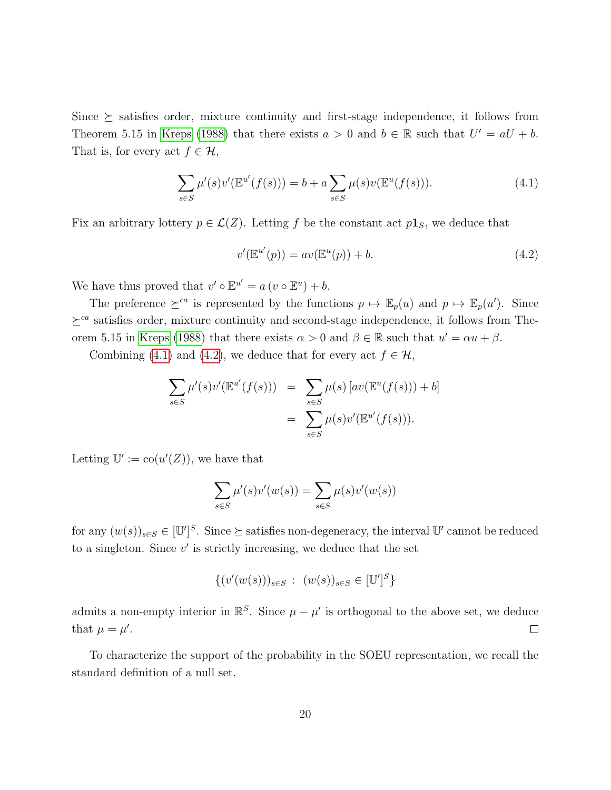Since  $\succeq$  satisfies order, mixture continuity and first-stage independence, it follows from Theorem 5.15 in [Kreps](#page-25-14) [\(1988\)](#page-25-14) that there exists  $a > 0$  and  $b \in \mathbb{R}$  such that  $U' = aU + b$ . That is, for every act  $f \in \mathcal{H}$ ,

<span id="page-19-0"></span>
$$
\sum_{s \in S} \mu'(s) \nu'(\mathbb{E}^{u'}(f(s))) = b + a \sum_{s \in S} \mu(s) \nu(\mathbb{E}^{u}(f(s))). \tag{4.1}
$$

Fix an arbitrary lottery  $p \in \mathcal{L}(Z)$ . Letting f be the constant act  $p_1$ <sub>S</sub>, we deduce that

<span id="page-19-1"></span>
$$
v'(\mathbb{E}^{u'}(p)) = av(\mathbb{E}^u(p)) + b.
$$
\n
$$
(4.2)
$$

We have thus proved that  $v' \circ \mathbb{E}^{u'} = a (v \circ \mathbb{E}^u) + b$ .

The preference  $\succeq^{ca}$  is represented by the functions  $p \mapsto \mathbb{E}_p(u)$  and  $p \mapsto \mathbb{E}_p(u')$ . Since  $\succeq^{ca}$  satisfies order, mixture continuity and second-stage independence, it follows from The-orem 5.15 in [Kreps](#page-25-14) [\(1988\)](#page-25-14) that there exists  $\alpha > 0$  and  $\beta \in \mathbb{R}$  such that  $u' = \alpha u + \beta$ .

Combining [\(4.1\)](#page-19-0) and [\(4.2\)](#page-19-1), we deduce that for every act  $f \in \mathcal{H}$ ,

$$
\sum_{s \in S} \mu'(s) \nu'(\mathbb{E}^{u'}(f(s))) = \sum_{s \in S} \mu(s) \left[ a \nu(\mathbb{E}^{u}(f(s))) + b \right]
$$

$$
= \sum_{s \in S} \mu(s) \nu'(\mathbb{E}^{u'}(f(s))).
$$

Letting  $\mathbb{U}' := \text{co}(u'(Z))$ , we have that

$$
\sum_{s \in S} \mu'(s) v'(w(s)) = \sum_{s \in S} \mu(s) v'(w(s))
$$

for any  $(w(s))_{s\in S} \in [\mathbb{U}']^S$ . Since  $\succeq$  satisfies non-degeneracy, the interval  $\mathbb{U}'$  cannot be reduced to a singleton. Since  $v'$  is strictly increasing, we deduce that the set

$$
\{ (v'(w(s)))_{s \in S} : (w(s))_{s \in S} \in [\mathbb{U}']^{S} \}
$$

admits a non-empty interior in  $\mathbb{R}^S$ . Since  $\mu - \mu'$  is orthogonal to the above set, we deduce that  $\mu = \mu'$ .  $\Box$ 

To characterize the support of the probability in the SOEU representation, we recall the standard definition of a null set.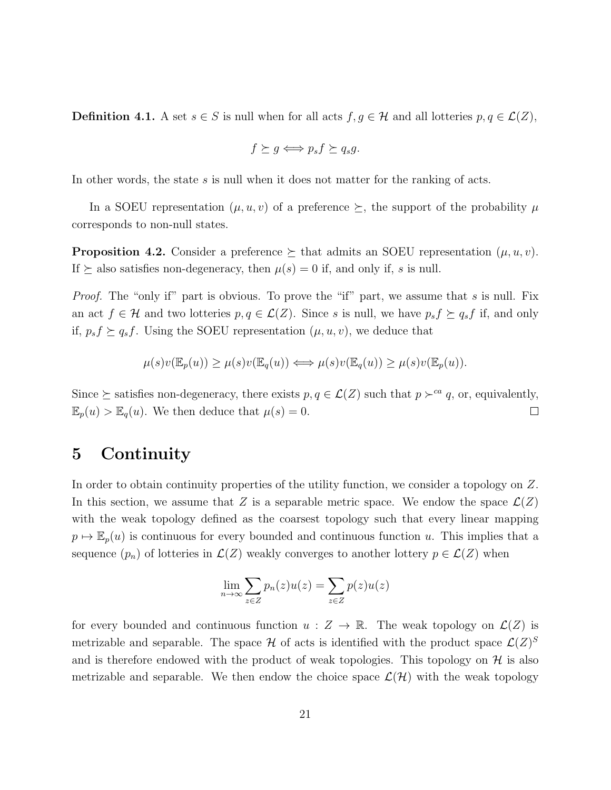**Definition 4.1.** A set  $s \in S$  is null when for all acts  $f, g \in H$  and all lotteries  $p, q \in L(Z)$ ,

$$
f \succeq g \Longleftrightarrow p_s f \succeq q_s g.
$$

In other words, the state  $s$  is null when it does not matter for the ranking of acts.

In a SOEU representation  $(\mu, u, v)$  of a preference  $\succeq$ , the support of the probability  $\mu$ corresponds to non-null states.

**Proposition 4.2.** Consider a preference  $\succeq$  that admits an SOEU representation  $(\mu, u, v)$ . If  $\succeq$  also satisfies non-degeneracy, then  $\mu(s) = 0$  if, and only if, s is null.

*Proof.* The "only if" part is obvious. To prove the "if" part, we assume that  $s$  is null. Fix an act  $f \in \mathcal{H}$  and two lotteries  $p, q \in \mathcal{L}(Z)$ . Since s is null, we have  $p_s f \succeq q_s f$  if, and only if,  $p_s f \succeq q_s f$ . Using the SOEU representation  $(\mu, u, v)$ , we deduce that

$$
\mu(s)v(\mathbb{E}_p(u)) \ge \mu(s)v(\mathbb{E}_q(u)) \Longleftrightarrow \mu(s)v(\mathbb{E}_q(u)) \ge \mu(s)v(\mathbb{E}_p(u)).
$$

Since  $\succeq$  satisfies non-degeneracy, there exists  $p, q \in \mathcal{L}(Z)$  such that  $p \succ^{\text{ca}} q$ , or, equivalently,  $\mathbb{E}_p(u) > \mathbb{E}_q(u)$ . We then deduce that  $\mu(s) = 0$ .  $\Box$ 

## 5 Continuity

In order to obtain continuity properties of the utility function, we consider a topology on Z. In this section, we assume that Z is a separable metric space. We endow the space  $\mathcal{L}(Z)$ with the weak topology defined as the coarsest topology such that every linear mapping  $p \mapsto \mathbb{E}_p(u)$  is continuous for every bounded and continuous function u. This implies that a sequence  $(p_n)$  of lotteries in  $\mathcal{L}(Z)$  weakly converges to another lottery  $p \in \mathcal{L}(Z)$  when

$$
\lim_{n \to \infty} \sum_{z \in Z} p_n(z) u(z) = \sum_{z \in Z} p(z) u(z)
$$

for every bounded and continuous function  $u : Z \to \mathbb{R}$ . The weak topology on  $\mathcal{L}(Z)$  is metrizable and separable. The space  $\mathcal H$  of acts is identified with the product space  $\mathcal L(Z)^S$ and is therefore endowed with the product of weak topologies. This topology on  $\mathcal H$  is also metrizable and separable. We then endow the choice space  $\mathcal{L}(\mathcal{H})$  with the weak topology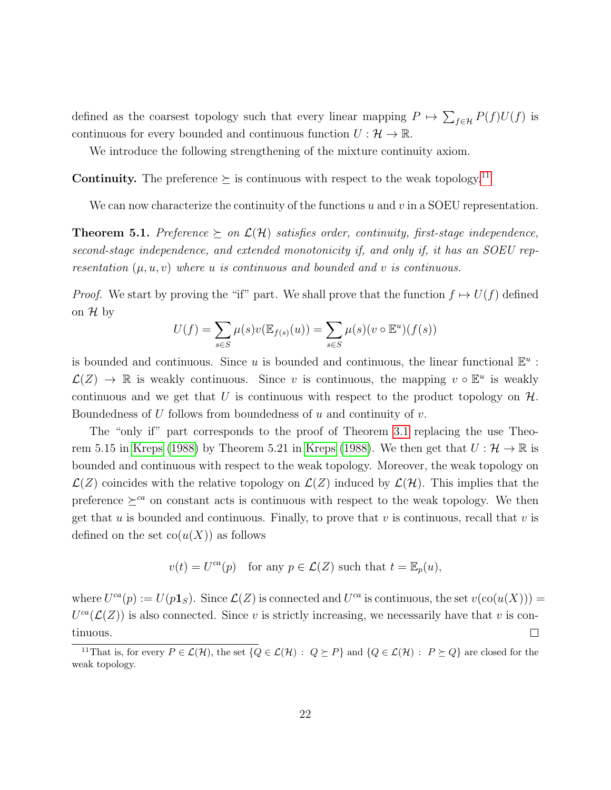defined as the coarsest topology such that every linear mapping  $P \mapsto \sum_{f \in \mathcal{H}} P(f)U(f)$  is continuous for every bounded and continuous function  $U: \mathcal{H} \to \mathbb{R}$ .

We introduce the following strengthening of the mixture continuity axiom.

**Continuity.** The preference  $\succeq$  is continuous with respect to the weak topology.<sup>[11](#page-0-0)</sup>

We can now characterize the continuity of the functions  $u$  and  $v$  in a SOEU representation.

<span id="page-21-0"></span>**Theorem 5.1.** Preference  $\succeq$  on  $\mathcal{L}(\mathcal{H})$  satisfies order, continuity, first-stage independence, second-stage independence, and extended monotonicity if, and only if, it has an SOEU representation  $(\mu, u, v)$  where u is continuous and bounded and v is continuous.

*Proof.* We start by proving the "if" part. We shall prove that the function  $f \mapsto U(f)$  defined on  $\mathcal H$  by

$$
U(f) = \sum_{s \in S} \mu(s)v(\mathbb{E}_{f(s)}(u)) = \sum_{s \in S} \mu(s)(v \circ \mathbb{E}^u)(f(s))
$$

is bounded and continuous. Since u is bounded and continuous, the linear functional  $\mathbb{E}^u$ :  $\mathcal{L}(Z) \to \mathbb{R}$  is weakly continuous. Since v is continuous, the mapping  $v \circ \mathbb{E}^u$  is weakly continuous and we get that U is continuous with respect to the product topology on  $H$ . Boundedness of  $U$  follows from boundedness of  $u$  and continuity of  $v$ .

The "only if" part corresponds to the proof of Theorem [3.1](#page-12-0) replacing the use Theo-rem 5.15 in [Kreps](#page-25-14) [\(1988\)](#page-25-14) by Theorem 5.21 in Kreps (1988). We then get that  $U : \mathcal{H} \to \mathbb{R}$  is bounded and continuous with respect to the weak topology. Moreover, the weak topology on  $\mathcal{L}(Z)$  coincides with the relative topology on  $\mathcal{L}(Z)$  induced by  $\mathcal{L}(\mathcal{H})$ . This implies that the preference  $\geq^{ca}$  on constant acts is continuous with respect to the weak topology. We then get that u is bounded and continuous. Finally, to prove that v is continuous, recall that v is defined on the set  $co(u(X))$  as follows

$$
v(t) = U^{ca}(p)
$$
 for any  $p \in \mathcal{L}(Z)$  such that  $t = \mathbb{E}_p(u)$ ,

where  $U^{ca}(p) := U(p\mathbf{1}_S)$ . Since  $\mathcal{L}(Z)$  is connected and  $U^{ca}$  is continuous, the set  $v(\text{co}(u(X)))$  =  $U^{ca}(\mathcal{L}(Z))$  is also connected. Since v is strictly increasing, we necessarily have that v is continuous.  $\Box$ 

<sup>&</sup>lt;sup>11</sup>That is, for every  $P \in \mathcal{L}(\mathcal{H})$ , the set  $\{Q \in \mathcal{L}(\mathcal{H}) : Q \succeq P\}$  and  $\{Q \in \mathcal{L}(\mathcal{H}) : P \succeq Q\}$  are closed for the weak topology.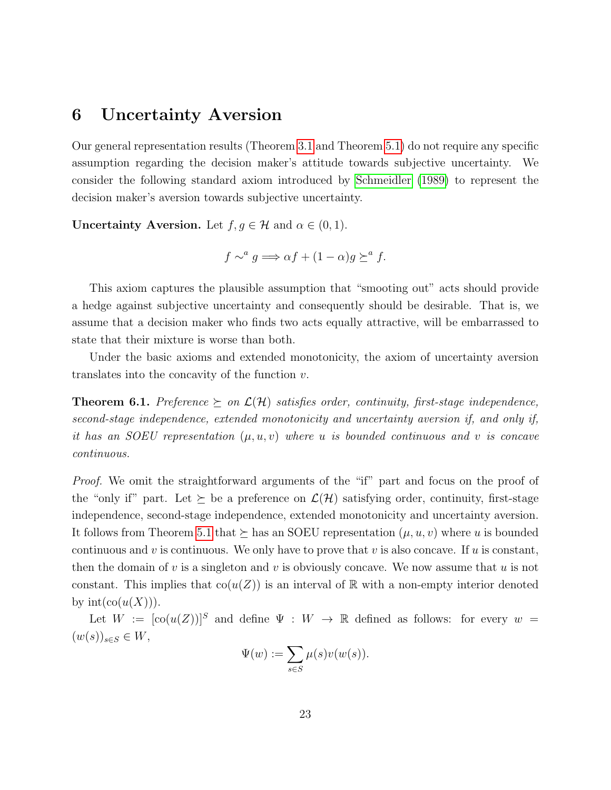### 6 Uncertainty Aversion

Our general representation results (Theorem [3.1](#page-12-0) and Theorem [5.1\)](#page-21-0) do not require any specific assumption regarding the decision maker's attitude towards subjective uncertainty. We consider the following standard axiom introduced by [Schmeidler](#page-25-1) [\(1989\)](#page-25-1) to represent the decision maker's aversion towards subjective uncertainty.

**Uncertainty Aversion.** Let  $f, g \in \mathcal{H}$  and  $\alpha \in (0, 1)$ .

$$
f \sim^a g \Longrightarrow \alpha f + (1 - \alpha)g \succeq^a f.
$$

This axiom captures the plausible assumption that "smooting out" acts should provide a hedge against subjective uncertainty and consequently should be desirable. That is, we assume that a decision maker who finds two acts equally attractive, will be embarrassed to state that their mixture is worse than both.

Under the basic axioms and extended monotonicity, the axiom of uncertainty aversion translates into the concavity of the function  $v$ .

<span id="page-22-0"></span>**Theorem 6.1.** Preference  $\succeq$  on  $\mathcal{L}(\mathcal{H})$  satisfies order, continuity, first-stage independence, second-stage independence, extended monotonicity and uncertainty aversion if, and only if, it has an SOEU representation  $(\mu, u, v)$  where u is bounded continuous and v is concave continuous.

Proof. We omit the straightforward arguments of the "if" part and focus on the proof of the "only if" part. Let  $\succeq$  be a preference on  $\mathcal{L}(\mathcal{H})$  satisfying order, continuity, first-stage independence, second-stage independence, extended monotonicity and uncertainty aversion. It follows from Theorem [5.1](#page-21-0) that  $\succeq$  has an SOEU representation  $(\mu, u, v)$  where u is bounded continuous and v is continuous. We only have to prove that v is also concave. If u is constant, then the domain of v is a singleton and v is obviously concave. We now assume that u is not constant. This implies that  $co(u(Z))$  is an interval of R with a non-empty interior denoted by  $\mathrm{int}(\mathrm{co}(u(X))).$ 

Let  $W := [\text{co}(u(Z))]^S$  and define  $\Psi : W \to \mathbb{R}$  defined as follows: for every  $w =$  $(w(s))_{s\in S}\in W,$ 

$$
\Psi(w) := \sum_{s \in S} \mu(s)v(w(s)).
$$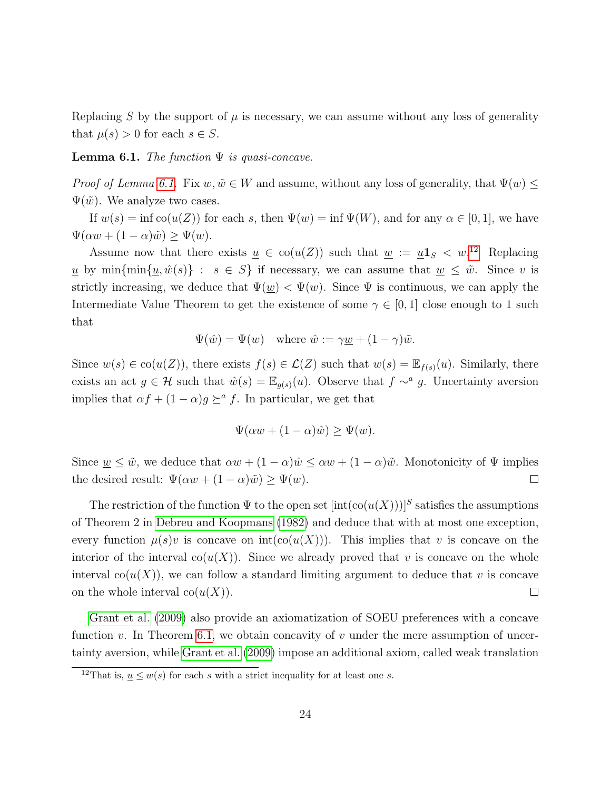Replacing S by the support of  $\mu$  is necessary, we can assume without any loss of generality that  $\mu(s) > 0$  for each  $s \in S$ .

<span id="page-23-0"></span>**Lemma 6.1.** The function  $\Psi$  is quasi-concave.

*Proof of Lemma [6.1.](#page-23-0)* Fix  $w, \tilde{w} \in W$  and assume, without any loss of generality, that  $\Psi(w)$  <  $\Psi(\tilde{w})$ . We analyze two cases.

If  $w(s) = \inf \mathrm{co}(u(Z))$  for each s, then  $\Psi(w) = \inf \Psi(W)$ , and for any  $\alpha \in [0,1]$ , we have  $\Psi(\alpha w + (1 - \alpha)\tilde{w}) \geq \Psi(w).$ 

Assume now that there exists  $\underline{u} \in \text{co}(u(Z))$  such that  $\underline{w} := \underline{u} \mathbf{1}_S < w$ <sup>[12](#page-0-0)</sup> Replacing u by min $\{\min\{\underline{u},\hat{w}(s)\} : s \in S\}$  if necessary, we can assume that  $\underline{w} \leq \tilde{w}$ . Since v is strictly increasing, we deduce that  $\Psi(w) < \Psi(w)$ . Since  $\Psi$  is continuous, we can apply the Intermediate Value Theorem to get the existence of some  $\gamma \in [0,1]$  close enough to 1 such that

$$
\Psi(\hat{w}) = \Psi(w) \quad \text{where } \hat{w} := \gamma \underline{w} + (1 - \gamma)\tilde{w}.
$$

Since  $w(s) \in \text{co}(u(Z))$ , there exists  $f(s) \in \mathcal{L}(Z)$  such that  $w(s) = \mathbb{E}_{f(s)}(u)$ . Similarly, there exists an act  $g \in \mathcal{H}$  such that  $\hat{w}(s) = \mathbb{E}_{g(s)}(u)$ . Observe that  $f \sim^a g$ . Uncertainty aversion implies that  $\alpha f + (1 - \alpha)g \succeq^a f$ . In particular, we get that

$$
\Psi(\alpha w + (1 - \alpha)\hat{w}) \ge \Psi(w).
$$

Since  $\underline{w} \leq \tilde{w}$ , we deduce that  $\alpha w + (1 - \alpha)\hat{w} \leq \alpha w + (1 - \alpha)\tilde{w}$ . Monotonicity of  $\Psi$  implies the desired result:  $\Psi(\alpha w + (1 - \alpha)\tilde{w}) \ge \Psi(w)$ .  $\Box$ 

The restriction of the function  $\Psi$  to the open set  $[\text{int}(\text{co}(u(X)))]^S$  satisfies the assumptions of Theorem 2 in [Debreu and Koopmans](#page-24-11) [\(1982\)](#page-24-11) and deduce that with at most one exception, every function  $\mu(s)v$  is concave on  $int(co(u(X)))$ . This implies that v is concave on the interior of the interval  $co(u(X))$ . Since we already proved that v is concave on the whole interval  $co(u(X))$ , we can follow a standard limiting argument to deduce that v is concave on the whole interval  $co(u(X))$ .  $\Box$ 

[Grant et al.](#page-24-1) [\(2009\)](#page-24-1) also provide an axiomatization of SOEU preferences with a concave function v. In Theorem [6.1,](#page-22-0) we obtain concavity of v under the mere assumption of uncertainty aversion, while [Grant et al.](#page-24-1) [\(2009\)](#page-24-1) impose an additional axiom, called weak translation

<sup>&</sup>lt;sup>12</sup>That is,  $u \leq w(s)$  for each s with a strict inequality for at least one s.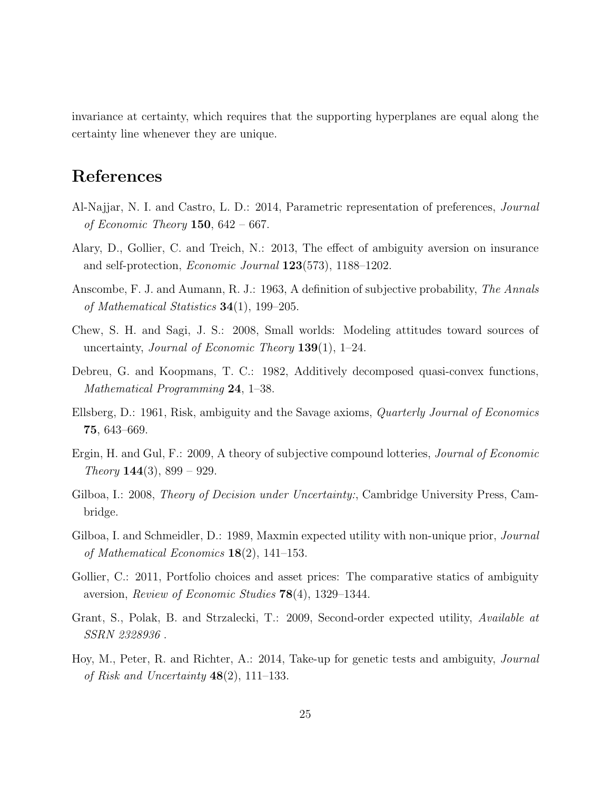invariance at certainty, which requires that the supporting hyperplanes are equal along the certainty line whenever they are unique.

# References

- <span id="page-24-6"></span>Al-Najjar, N. I. and Castro, L. D.: 2014, Parametric representation of preferences, Journal of Economic Theory 150,  $642 - 667$ .
- <span id="page-24-8"></span>Alary, D., Gollier, C. and Treich, N.: 2013, The effect of ambiguity aversion on insurance and self-protection, Economic Journal 123(573), 1188–1202.
- <span id="page-24-0"></span>Anscombe, F. J. and Aumann, R. J.: 1963, A definition of subjective probability, The Annals of Mathematical Statistics  $34(1)$ , 199-205.
- <span id="page-24-5"></span>Chew, S. H. and Sagi, J. S.: 2008, Small worlds: Modeling attitudes toward sources of uncertainty, *Journal of Economic Theory*  $139(1)$ , 1–24.
- <span id="page-24-11"></span>Debreu, G. and Koopmans, T. C.: 1982, Additively decomposed quasi-convex functions, Mathematical Programming 24, 1–38.
- <span id="page-24-2"></span>Ellsberg, D.: 1961, Risk, ambiguity and the Savage axioms, Quarterly Journal of Economics 75, 643–669.
- <span id="page-24-4"></span>Ergin, H. and Gul, F.: 2009, A theory of subjective compound lotteries, Journal of Economic Theory **144**(3), 899 – 929.
- <span id="page-24-10"></span>Gilboa, I.: 2008, *Theory of Decision under Uncertainty:*, Cambridge University Press, Cambridge.
- <span id="page-24-3"></span>Gilboa, I. and Schmeidler, D.: 1989, Maxmin expected utility with non-unique prior, *Journal* of Mathematical Economics 18(2), 141–153.
- <span id="page-24-7"></span>Gollier, C.: 2011, Portfolio choices and asset prices: The comparative statics of ambiguity aversion, Review of Economic Studies 78(4), 1329–1344.
- <span id="page-24-1"></span>Grant, S., Polak, B. and Strzalecki, T.: 2009, Second-order expected utility, Available at SSRN 2328936 .
- <span id="page-24-9"></span>Hoy, M., Peter, R. and Richter, A.: 2014, Take-up for genetic tests and ambiguity, Journal of Risk and Uncertainty  $48(2)$ , 111–133.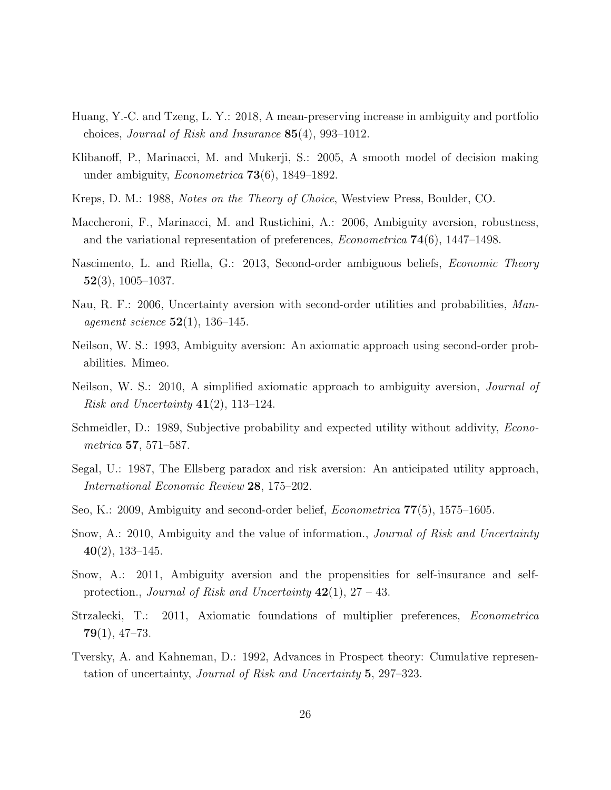- <span id="page-25-13"></span>Huang, Y.-C. and Tzeng, L. Y.: 2018, A mean-preserving increase in ambiguity and portfolio choices, Journal of Risk and Insurance 85(4), 993–1012.
- <span id="page-25-6"></span>Klibanoff, P., Marinacci, M. and Mukerji, S.: 2005, A smooth model of decision making under ambiguity, Econometrica 73(6), 1849–1892.
- <span id="page-25-14"></span>Kreps, D. M.: 1988, Notes on the Theory of Choice, Westview Press, Boulder, CO.
- <span id="page-25-7"></span>Maccheroni, F., Marinacci, M. and Rustichini, A.: 2006, Ambiguity aversion, robustness, and the variational representation of preferences,  $Econometrica$  **74**(6), 1447–1498.
- <span id="page-25-8"></span>Nascimento, L. and Riella, G.: 2013, Second-order ambiguous beliefs, Economic Theory  $52(3)$ , 1005–1037.
- <span id="page-25-9"></span>Nau, R. F.: 2006, Uncertainty aversion with second-order utilities and probabilities, Man*agement science*  $52(1)$ , 136–145.
- <span id="page-25-4"></span>Neilson, W. S.: 1993, Ambiguity aversion: An axiomatic approach using second-order probabilities. Mimeo.
- <span id="page-25-5"></span>Neilson, W. S.: 2010, A simplified axiomatic approach to ambiguity aversion, Journal of Risk and Uncertainty  $41(2)$ , 113–124.
- <span id="page-25-1"></span>Schmeidler, D.: 1989, Subjective probability and expected utility without addivity, *Econo*metrica 57, 571–587.
- <span id="page-25-2"></span>Segal, U.: 1987, The Ellsberg paradox and risk aversion: An anticipated utility approach, International Economic Review 28, 175–202.
- <span id="page-25-0"></span>Seo, K.: 2009, Ambiguity and second-order belief, Econometrica 77(5), 1575–1605.
- <span id="page-25-11"></span>Snow, A.: 2010, Ambiguity and the value of information., *Journal of Risk and Uncertainty* 40(2), 133–145.
- <span id="page-25-12"></span>Snow, A.: 2011, Ambiguity aversion and the propensities for self-insurance and selfprotection., *Journal of Risk and Uncertainty*  $42(1)$ ,  $27 - 43$ .
- <span id="page-25-10"></span>Strzalecki, T.: 2011, Axiomatic foundations of multiplier preferences, Econometrica  $79(1), 47-73.$
- <span id="page-25-3"></span>Tversky, A. and Kahneman, D.: 1992, Advances in Prospect theory: Cumulative representation of uncertainty, Journal of Risk and Uncertainty 5, 297–323.